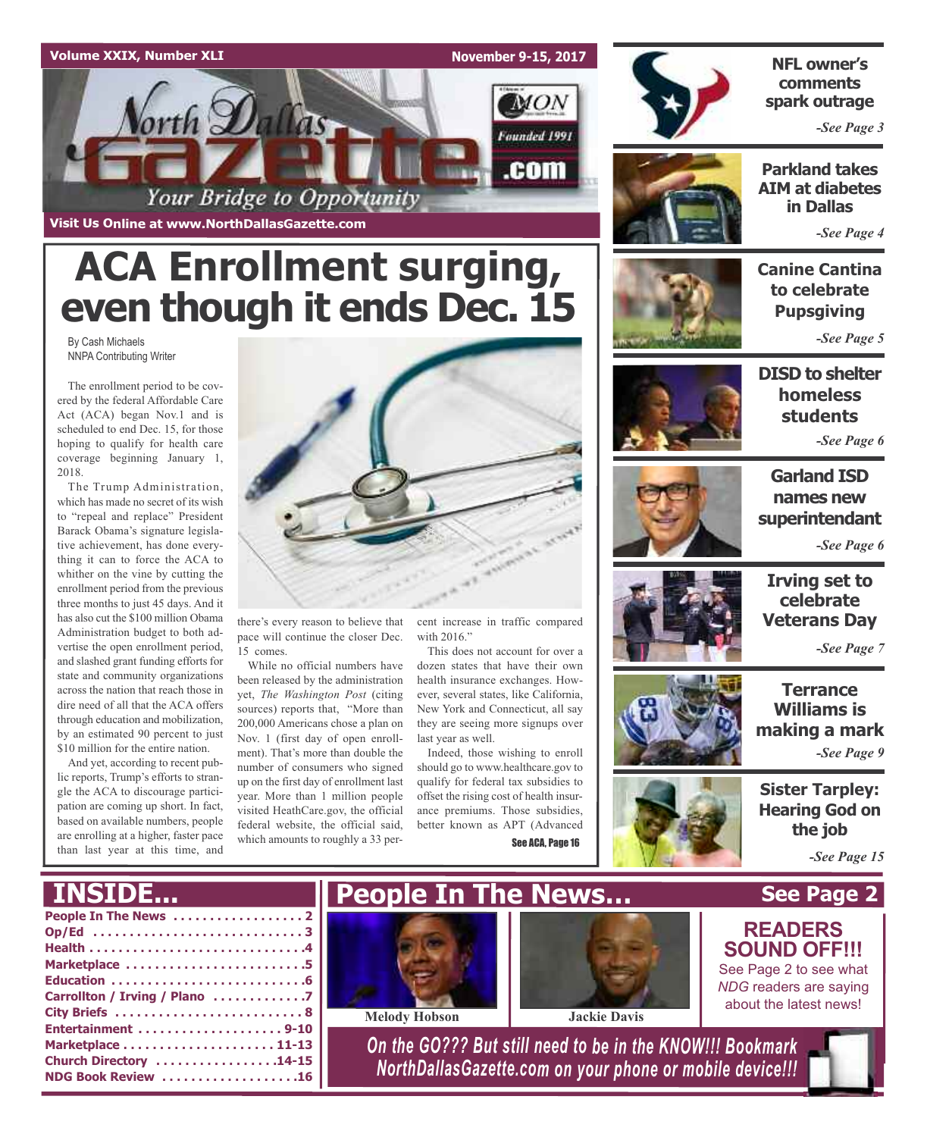# **Volume XXIX, Number XLI November 9-15, 2017 MON** orth Dallas Founded 1991 .com Your Bridge to Opportunity

**ACA Enrollment surging,**

**Visit Us Online at www.NorthDallasGazette.com**

By Cash Michaels NNPA Contributing Writer

Administration budget to both advertise the open enrollment period, and slashed grant funding efforts for state and community organizations across the nation that reach those in dire need of all that the ACA offers through education and mobilization, by an estimated 90 percent to just \$10 million for the entire nation. And yet, according to recent public reports, Trump's efforts to strangle the ACA to discourage participation are coming up short. In fact, based on available numbers, people are enrolling at a higher, faster pace than last year at this time, and

2018.



**NFL owner's comments spark outrage**

*-See Page 3*

**Parkland takes AIM at diabetes in Dallas**

*-See Page 4*

# **Canine Cantina to celebrate Pupsgiving**

*-See Page 5*

**DISD to shelter homeless students**

*-See Page 6*



# **names new superintendant** *-See Page 6*

**Garland ISD**

**Irving set to celebrate Veterans Day**

*-See Page 7*

**Terrance Williams is making a mark**

*-See Page 9*

**Sister Tarpley: Hearing God on the job**

*-See Page 15*



there's every reason to believe that pace will continue the closer Dec. 15 comes.

While no official numbers have been released by the administration yet, *The Washington Post* (citing sources) reports that, "More than 200,000 Americans chose a plan on Nov. 1 (first day of open enrollment). That's more than double the number of consumers who signed up on the first day of enrollment last year. More than 1 million people visited HeathCare.gov, the official federal website, the official said, which amounts to roughly a 33 percent increase in traffic compared with 2016."

This does not account for over a dozen states that have their own health insurance exchanges. However, several states, like California, New York and Connecticut, all say they are seeing more signups over last year as well.

Indeed, those wishing to enroll should go to www.healthcare.gov to qualify for federal tax subsidies to offset the rising cost of health insurance premiums. Those subsidies, better known as APT (Advanced See ACA, Page 16



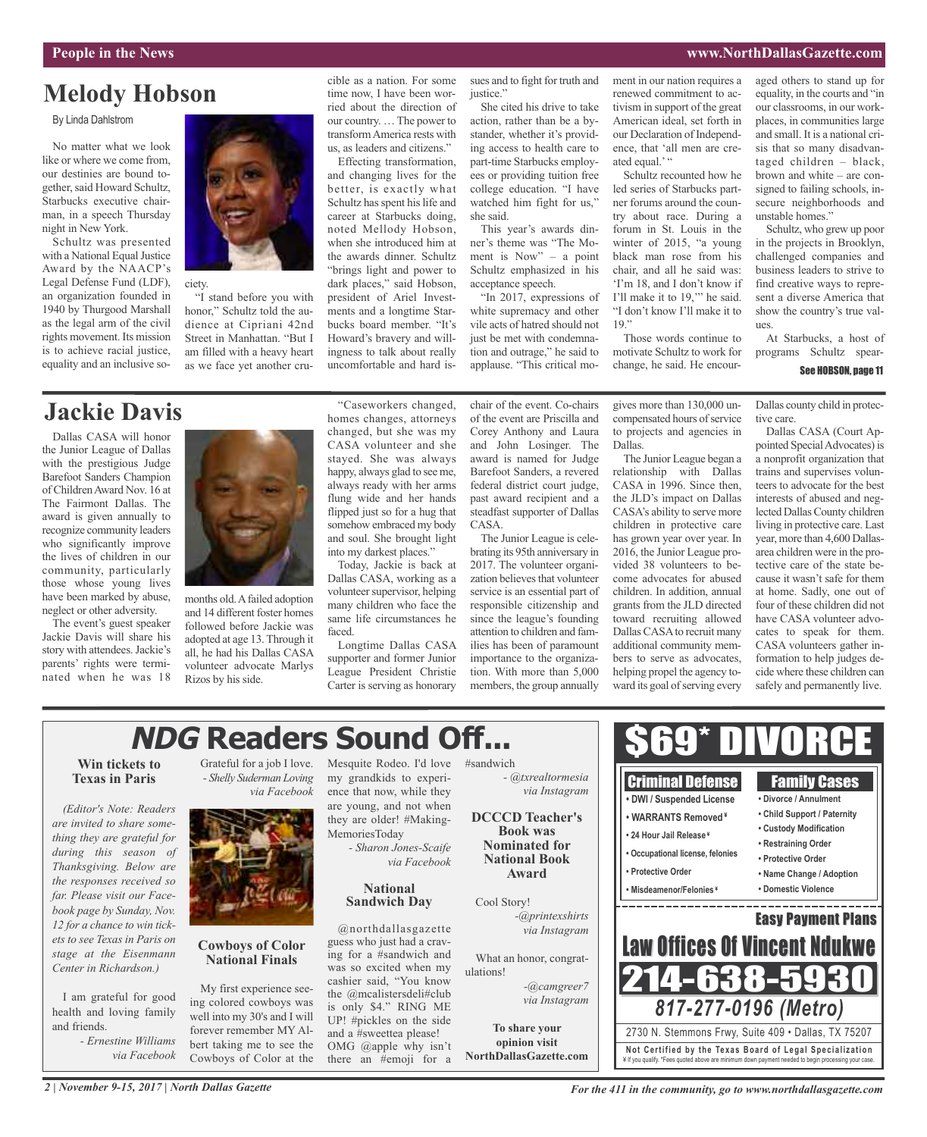# **Melody Hobson**

By Linda Dahlstrom

No matter what we look like or where we come from, our destinies are bound together, said Howard Schultz, Starbucks executive chairman, in a speech Thursday night in New York.

Schultz was presented with a National Equal Justice Award by the NAACP's Legal Defense Fund (LDF), an organization founded in 1940 by Thurgood Marshall as the legal arm of the civil rights movement. Its mission is to achieve racial justice, equality and an inclusive so-



ciety.

"I stand before you with honor," Schultz told the audience at Cipriani 42nd Street in Manhattan. "But I am filled with a heavy heart as we face yet another crucible as a nation. For some time now, I have been worried about the direction of our country. …The power to transformAmerica rests with

us, as leaders and citizens." Effecting transformation, and changing lives for the better, is exactly what Schultz has spent his life and career at Starbucks doing, noted Mellody Hobson, when she introduced him at the awards dinner. Schultz "brings light and power to dark places," said Hobson, president of Ariel Investments and a longtime Starbucks board member. "It's Howard's bravery and willingness to talk about really uncomfortable and hard issues and to fight for truth and justice.' She cited his drive to take

action, rather than be a bystander, whether it's providing access to health care to part-time Starbucks employees or providing tuition free college education. "I have watched him fight for us," she said.

This year's awards dinner's theme was "The Moment is Now" – a point Schultz emphasized in his acceptance speech.

"In 2017, expressions of white supremacy and other vile acts of hatred should not just be met with condemnation and outrage," he said to applause. "This critical moment in our nation requires a renewed commitment to activism in support of the great American ideal, set forth in our Declaration of Independence, that 'all men are created equal.'"

Schultz recounted how he led series of Starbucks partner forums around the country about race. During a forum in St. Louis in the winter of 2015, "a young black man rose from his chair, and all he said was: 'I'm 18, and I don't know if I'll make it to 19,'" he said. "I don't know I'll make it to  $19,$ 

Those words continue to motivate Schultz to work for change, he said. He encouraged others to stand up for equality, in the courts and "in our classrooms, in our workplaces, in communities large and small. It is a national crisis that so many disadvantaged children – black, brown and white – are consigned to failing schools, insecure neighborhoods and unstable homes."

Schultz, who grew up poor in the projects in Brooklyn, challenged companies and business leaders to strive to find creative ways to represent a diverse America that show the country's true val- $\overline{\text{H}}$ 

At Starbucks, a host of programs Schultz spear-

#### See HOBSON, page 11

**Jackie Davis**

Dallas CASA will honor the Junior League of Dallas with the prestigious Judge Barefoot Sanders Champion of ChildrenAward Nov. 16 at The Fairmont Dallas. The award is given annually to recognize community leaders who significantly improve the lives of children in our community, particularly those whose young lives have been marked by abuse, neglect or other adversity.

The event's guest speaker Jackie Davis will share his story with attendees.Jackie's parents' rights were terminated when he was 18



months old.Afailed adoption and 14 different foster homes followed before Jackie was adopted at age 13. Through it all, he had his Dallas CASA volunteer advocate Marlys Rizos by his side.

"Caseworkers changed, homes changes, attorneys changed, but she was my CASA volunteer and she stayed. She was always happy, always glad to see me, always ready with her arms flung wide and her hands flipped just so for a hug that somehow embraced my body and soul. She brought light into my darkest places."

Today, Jackie is back at Dallas CASA, working as a volunteer supervisor, helping many children who face the same life circumstances he faced.

Longtime Dallas CASA supporter and former Junior League President Christie Carter is serving as honorary chair of the event. Co-chairs of the event are Priscilla and Corey Anthony and Laura and John Losinger. The award is named for Judge Barefoot Sanders, a revered federal district court judge, past award recipient and a steadfast supporter of Dallas CASA.

The Junior League is celebrating its 95th anniversary in 2017. The volunteer organization believes that volunteer service is an essential part of responsible citizenship and since the league's founding attention to children and families has been of paramount importance to the organization. With more than 5,000 members, the group annually

gives more than 130,000 uncompensated hours of service to projects and agencies in Dallas.

The Junior League began a relationship with Dallas CASA in 1996. Since then, the JLD's impact on Dallas CASA's ability to serve more children in protective care has grown year over year. In 2016, the Junior League provided 38 volunteers to become advocates for abused children. In addition, annual grants from the JLD directed toward recruiting allowed Dallas CASA to recruit many additional community members to serve as advocates, helping propel the agency toward its goal of serving every

Dallas county child in protective care.

Dallas CASA (Court Appointed Special Advocates) is a nonprofit organization that trains and supervises volunteers to advocate for the best interests of abused and neglected Dallas County children living in protective care. Last year, more than 4,600 Dallasarea children were in the protective care of the state because it wasn't safe for them at home. Sadly, one out of four of these children did not have CASA volunteer advocates to speak for them. CASA volunteers gather information to help judges decide where these children can safely and permanently live.

# **NDG Readers Sound Off...**

## **Win tickets to Texas in Paris**

*(Editor's Note: Readers are invited to share something they are grateful for during this season of Thanksgiving. Below are the responses received so far. Please visit our Facebook page by Sunday, Nov. 12 for a chance to win tickets to see Texas in Paris on stage at the Eisenmann Center in Richardson.)*

I am grateful for good health and loving family and friends.

> *- Ernestine Williams via Facebook*

Grateful for a job I love. *- Shelly Suderman Loving via Facebook*



## **Cowboys of Color National Finals**

My first experience seeing colored cowboys was well into my 30's and I will forever remember MY Albert taking me to see the Cowboys of Color at the

Mesquite Rodeo. I'd love #sandwich my grandkids to experience that now, while they are young, and not when they are older! #Making-MemoriesToday

*- Sharon Jones-Scaife via Facebook*

## **National Sandwich Day**

@northdallasgazette guess who just had a craving for a #sandwich and was so excited when my cashier said, "You know the @mcalistersdeli#club is only \$4." RING ME UP! #pickles on the side and a #sweettea please! OMG @apple why isn't there an #emoji for a

*via Instagram* **DCCCD Teacher's Book was Nominated for**

**National Book Award**

Cool Story! *-@printexshirts*

What an honor, congratulations! *-@camgreer7 via Instagram*

**To share your opinion visit NorthDallasGazette.com**

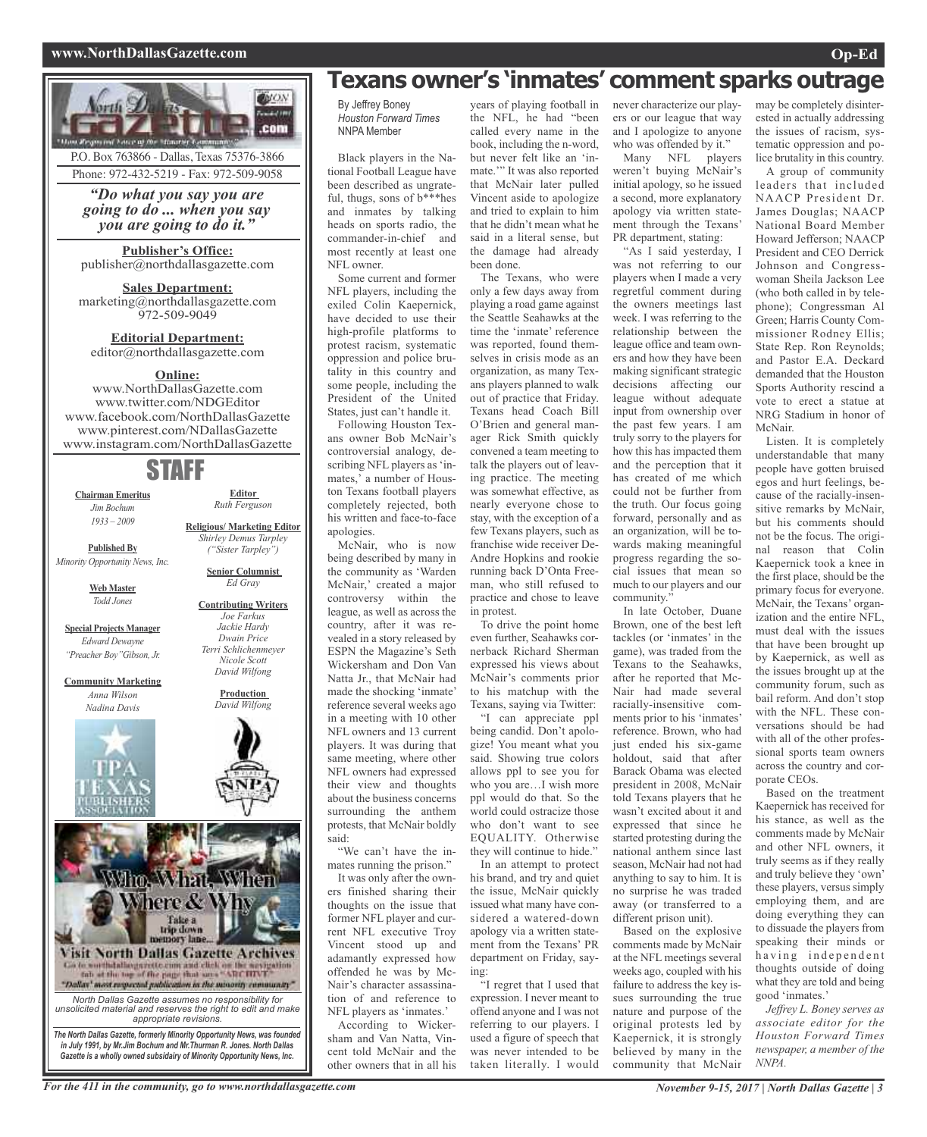### **www.NorthDallasGazette.com Op-Ed**



**Publisher's Office:** publisher@northdallasgazette.com

**Sales Department:** marketing@northdallasgazette.com 972-509-9049

**Editorial Department:** editor@northdallasgazette.com

# **Online:**

www.NorthDallasGazette.com www.twitter.com/NDGEditor www.facebook.com/NorthDallasGazette www.pinterest.com/NDallasGazette www.instagram.com/NorthDallasGazette

# STAFF

**Chairman Emeritus** *Jim Bochum 1933 – 2009*

**Editor** *Ruth Ferguson*

**Religious/ Marketing Editor** *Shirley Demus Tarpley ("Sister Tarpley")*

**Published By** *Minority Opportunity News, Inc.*

**Web Master**

*Todd Jones*

**Special Projects Manager** *Edward Dewayne "Preacher Boy"Gibson, Jr.*

**Community Marketing** *Anna Wilson Nadina Davis*





For the 411 in the community, go to www.northdallasgazette.com November 9-15, 2017 | North Dallas Gazette | 3

# **Texans owner's 'inmates' comment sparks outrage**

By Jeffrey Boney *Houston Forward Times* NNPA Member

Black players in the National Football League have been described as ungrateful, thugs, sons of b\*\*\*hes and inmates by talking heads on sports radio, the commander-in-chief and most recently at least one NFL owner.

Some current and former NFL players, including the exiled Colin Kaepernick, have decided to use their high-profile platforms to protest racism, systematic oppression and police brutality in this country and some people, including the President of the United States, just can't handle it.

Following Houston Texans owner Bob McNair's controversial analogy, describing NFL players as 'inmates,' a number of Houston Texans football players completely rejected, both his written and face-to-face apologies.

McNair, who is now being described by many in the community as 'Warden McNair,' created a major controversy within the league, as well as across the country, after it was revealed in a story released by ESPN the Magazine's Seth Wickersham and Don Van Natta Jr., that McNair had made the shocking 'inmate' reference several weeks ago in a meeting with 10 other NFL owners and 13 current players. It was during that same meeting, where other NFL owners had expressed their view and thoughts about the business concerns surrounding the anthem protests, that McNair boldly said:

"We can't have the inmates running the prison."

It was only after the owners finished sharing their thoughts on the issue that former NFL player and current NFL executive Troy Vincent stood up and adamantly expressed how offended he was by Mc-Nair's character assassination of and reference to NFL players as 'inmates.'

According to Wickersham and Van Natta, Vincent told McNair and the other owners that in all his

years of playing football in the NFL, he had "been called every name in the book, including the n-word, but never felt like an 'inmate.'" It was also reported that McNair later pulled Vincent aside to apologize and tried to explain to him that he didn't mean what he said in a literal sense, but the damage had already been done.

The Texans, who were only a few days away from playing a road game against the Seattle Seahawks at the time the 'inmate' reference was reported, found themselves in crisis mode as an organization, as many Texans players planned to walk out of practice that Friday. Texans head Coach Bill O'Brien and general manager Rick Smith quickly convened a team meeting to talk the players out of leaving practice. The meeting was somewhat effective, as nearly everyone chose to stay, with the exception of a few Texans players, such as franchise wide receiver De-Andre Hopkins and rookie running back D'Onta Freeman, who still refused to practice and chose to leave in protest.

To drive the point home even further, Seahawks cornerback Richard Sherman expressed his views about McNair's comments prior to his matchup with the Texans, saying via Twitter:

"I can appreciate ppl being candid. Don't apologize! You meant what you said. Showing true colors allows ppl to see you for who you are…I wish more ppl would do that. So the world could ostracize those who don't want to see EQUALITY. Otherwise they will continue to hide."

In an attempt to protect his brand, and try and quiet the issue, McNair quickly issued what many have considered a watered-down apology via a written statement from the Texans' PR department on Friday, saying:

"I regret that I used that expression. I never meant to offend anyone and I was not referring to our players. I used a figure of speech that was never intended to be taken literally. I would

never characterize our players or our league that way and I apologize to anyone who was offended by it."

Many NFL players weren't buying McNair's initial apology, so he issued a second, more explanatory apology via written statement through the Texans' PR department, stating:

"As I said yesterday, I was not referring to our players when I made a very regretful comment during the owners meetings last week. I was referring to the relationship between the league office and team owners and how they have been making significant strategic decisions affecting our league without adequate input from ownership over the past few years. I am truly sorry to the players for how this has impacted them and the perception that it has created of me which could not be further from the truth. Our focus going forward, personally and as an organization, will be towards making meaningful progress regarding the social issues that mean so much to our players and our community.'

In late October, Duane Brown, one of the best left tackles (or 'inmates' in the game), was traded from the Texans to the Seahawks, after he reported that Mc-Nair had made several racially-insensitive comments prior to his 'inmates' reference. Brown, who had just ended his six-game holdout, said that after Barack Obama was elected president in 2008, McNair told Texans players that he wasn't excited about it and expressed that since he started protesting during the national anthem since last season, McNair had not had anything to say to him. It is no surprise he was traded away (or transferred to a different prison unit).

Based on the explosive comments made by McNair at the NFL meetings several weeks ago, coupled with his failure to address the key issues surrounding the true nature and purpose of the original protests led by Kaepernick, it is strongly believed by many in the community that McNair may be completely disinterested in actually addressing the issues of racism, systematic oppression and police brutality in this country.

A group of community leaders that included NAACP President Dr. James Douglas; NAACP National Board Member Howard Jefferson; NAACP President and CEO Derrick Johnson and Congresswoman Sheila Jackson Lee (who both called in by telephone); Congressman Al Green; Harris County Commissioner Rodney Ellis; State Rep. Ron Reynolds; and Pastor E.A. Deckard demanded that the Houston Sports Authority rescind a vote to erect a statue at NRG Stadium in honor of McNair.

Listen. It is completely understandable that many people have gotten bruised egos and hurt feelings, because of the racially-insensitive remarks by McNair, but his comments should not be the focus. The original reason that Colin Kaepernick took a knee in the first place, should be the primary focus for everyone. McNair, the Texans' organization and the entire NFL, must deal with the issues that have been brought up by Kaepernick, as well as the issues brought up at the community forum, such as bail reform. And don't stop with the NFL. These conversations should be had with all of the other professional sports team owners across the country and corporate CEOs.

Based on the treatment Kaepernick has received for his stance, as well as the comments made by McNair and other NFL owners, it truly seems as if they really and truly believe they 'own' these players, versus simply employing them, and are doing everything they can to dissuade the players from speaking their minds or having independent thoughts outside of doing what they are told and being good 'inmates.'

*Jeffrey L. Boney serves as associate editor for the Houston Forward Times newspaper, a member of the NNPA.*

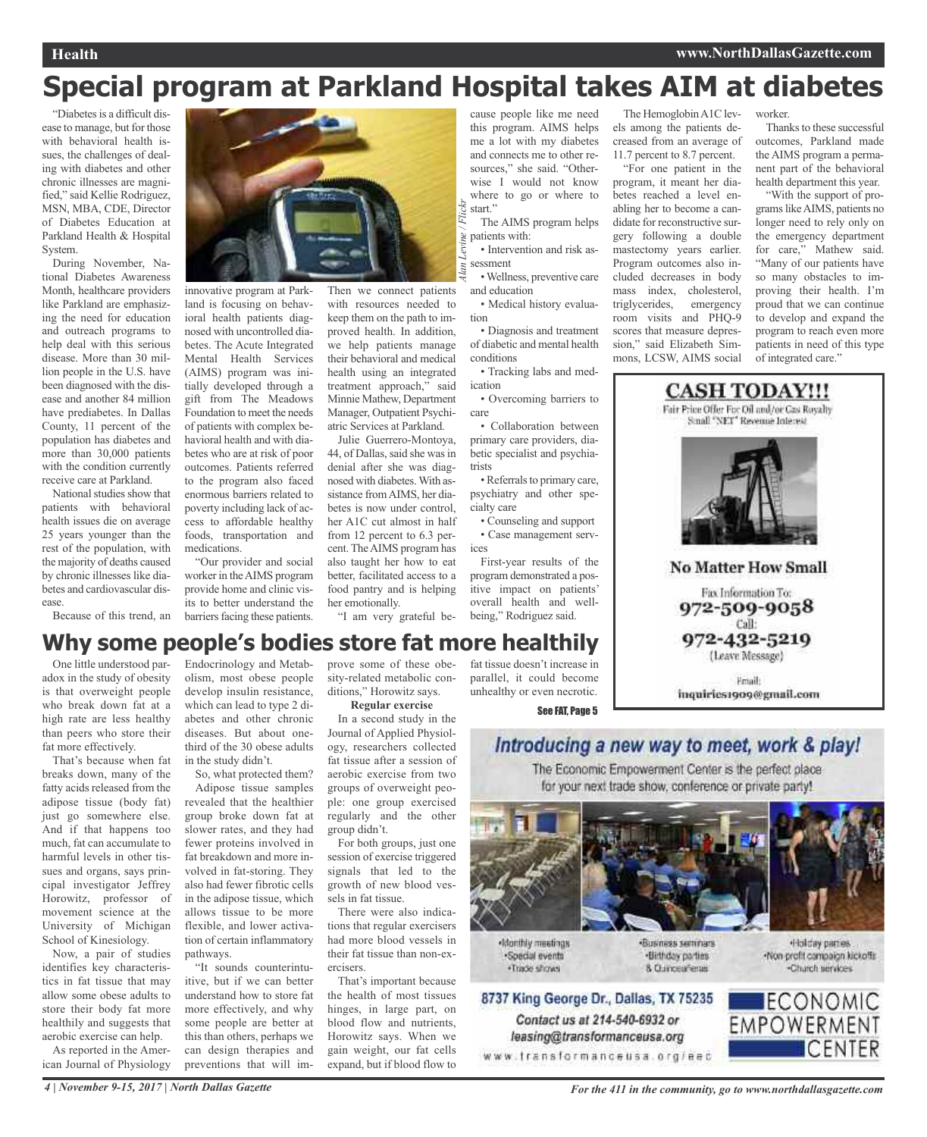# **Special program at Parkland Hospital takes AIM at diabetes**

"Diabetes is a difficult disease to manage, but for those with behavioral health issues, the challenges of dealing with diabetes and other chronic illnesses are magnified," said Kellie Rodriguez, MSN, MBA, CDE, Director of Diabetes Education at Parkland Health & Hospital System.

During November, National Diabetes Awareness Month, healthcare providers like Parkland are emphasizing the need for education and outreach programs to help deal with this serious disease. More than 30 million people in the U.S. have been diagnosed with the disease and another 84 million have prediabetes. In Dallas County, 11 percent of the population has diabetes and more than 30,000 patients with the condition currently receive care at Parkland.

National studies show that patients with behavioral health issues die on average 25 years younger than the rest of the population, with the majority of deaths caused by chronic illnesses like diabetes and cardiovascular disease.

Because of this trend, an



innovative program at Parkland is focusing on behavioral health patients diagnosed with uncontrolled diabetes. The Acute Integrated Mental Health Services (AIMS) program was initially developed through a gift from The Meadows Foundation to meet the needs of patients with complex behavioral health and with diabetes who are at risk of poor outcomes. Patients referred to the program also faced enormous barriers related to poverty including lack of access to affordable healthy foods, transportation and medications.

"Our provider and social worker in theAIMS program provide home and clinic visits to better understand the barriers facing these patients.

Then we connect patients with resources needed to keep them on the path to improved health. In addition, we help patients manage their behavioral and medical health using an integrated treatment approach," said Minnie Mathew, Department Manager, Outpatient Psychiatric Services at Parkland.

Julie Guerrero-Montoya, 44, of Dallas, said she was in denial after she was diagnosed with diabetes.With assistance fromAIMS, her diabetes is now under control, her A1C cut almost in half from 12 percent to 6.3 percent. The AIMS program has also taught her how to eat better, facilitated access to a food pantry and is helping her emotionally.

"I am very grateful be-

cause people like me need this program. AIMS helps me a lot with my diabetes and connects me to other resources," she said. "Otherwise I would not know where to go or where to start."

The AIMS program helps patients with:

• Intervention and risk assessment •Wellness, preventive care *Alan Levine / Flickr*

and education • Medical history evalua-

tion • Diagnosis and treatment

of diabetic and mental health conditions • Tracking labs and med-

ication • Overcoming barriers to

care • Collaboration between

primary care providers, diabetic specialist and psychiatrists

• Referrals to primary care, psychiatry and other specialty care

• Counseling and support • Case management services

First-year results of the program demonstrated a positive impact on patients' overall health and wellbeing," Rodriguez said.

The HemoglobinA1C levels among the patients decreased from an average of 11.7 percent to 8.7 percent.

"For one patient in the program, it meant her diabetes reached a level enabling her to become a candidate for reconstructive surgery following a double mastectomy years earlier. Program outcomes also included decreases in body mass index, cholesterol, triglycerides, emergency room visits and PHQ-9 scores that measure depression," said Elizabeth Simmons, LCSW, AIMS social

worker.

Thanks to these successful outcomes, Parkland made the AIMS program a permanent part of the behavioral health department this year.

"With the support of programslikeAIMS, patients no longer need to rely only on the emergency department for care," Mathew said. "Many of our patients have so many obstacles to improving their health. I'm proud that we can continue to develop and expand the program to reach even more patients in need of this type of integrated care."



# **Why some people's bodies store fat more healthily**

One little understood paradox in the study of obesity is that overweight people who break down fat at a high rate are less healthy than peers who store their fat more effectively.

That's because when fat breaks down, many of the fatty acids released from the adipose tissue (body fat) just go somewhere else. And if that happens too much, fat can accumulate to harmful levels in other tissues and organs, says principal investigator Jeffrey Horowitz, professor of movement science at the University of Michigan School of Kinesiology.

Now, a pair of studies identifies key characteristics in fat tissue that may allow some obese adults to store their body fat more healthily and suggests that aerobic exercise can help.

As reported in the American Journal of Physiology Endocrinology and Metabolism, most obese people develop insulin resistance, which can lead to type 2 diabetes and other chronic diseases. But about onethird of the 30 obese adults in the study didn't.

So, what protected them? Adipose tissue samples revealed that the healthier group broke down fat at slower rates, and they had fewer proteins involved in fat breakdown and more involved in fat-storing. They also had fewer fibrotic cells in the adipose tissue, which allows tissue to be more flexible, and lower activation of certain inflammatory pathways.

"It sounds counterintuitive, but if we can better understand how to store fat more effectively, and why some people are better at this than others, perhaps we can design therapies and preventions that will improve some of these obesity-related metabolic conditions," Horowitz says.

**Regular exercise**

In a second study in the Journal of Applied Physiology, researchers collected fat tissue after a session of aerobic exercise from two groups of overweight people: one group exercised regularly and the other group didn't.

For both groups, just one session of exercise triggered signals that led to the growth of new blood vessels in fat tissue.

There were also indications that regular exercisers had more blood vessels in their fat tissue than non-exercisers.

That's important because the health of most tissues hinges, in large part, on blood flow and nutrients, Horowitz says. When we gain weight, our fat cells expand, but if blood flow to fat tissue doesn't increase in parallel, it could become unhealthy or even necrotic.

See FAT, Page 5

# Introducing a new way to meet, work & play!

The Economic Empowerment Center is the perfect place for your next trade show, conference or private party!



Monthly meetings ·Special events ·Trade shows



Contact us at 214-540-6932 or

leasing@transformanceusa.org

«Business seminars ·Birthday parties 8 Curceaferas

Holday partes. -Non-profit compaign kickoffs Charch services

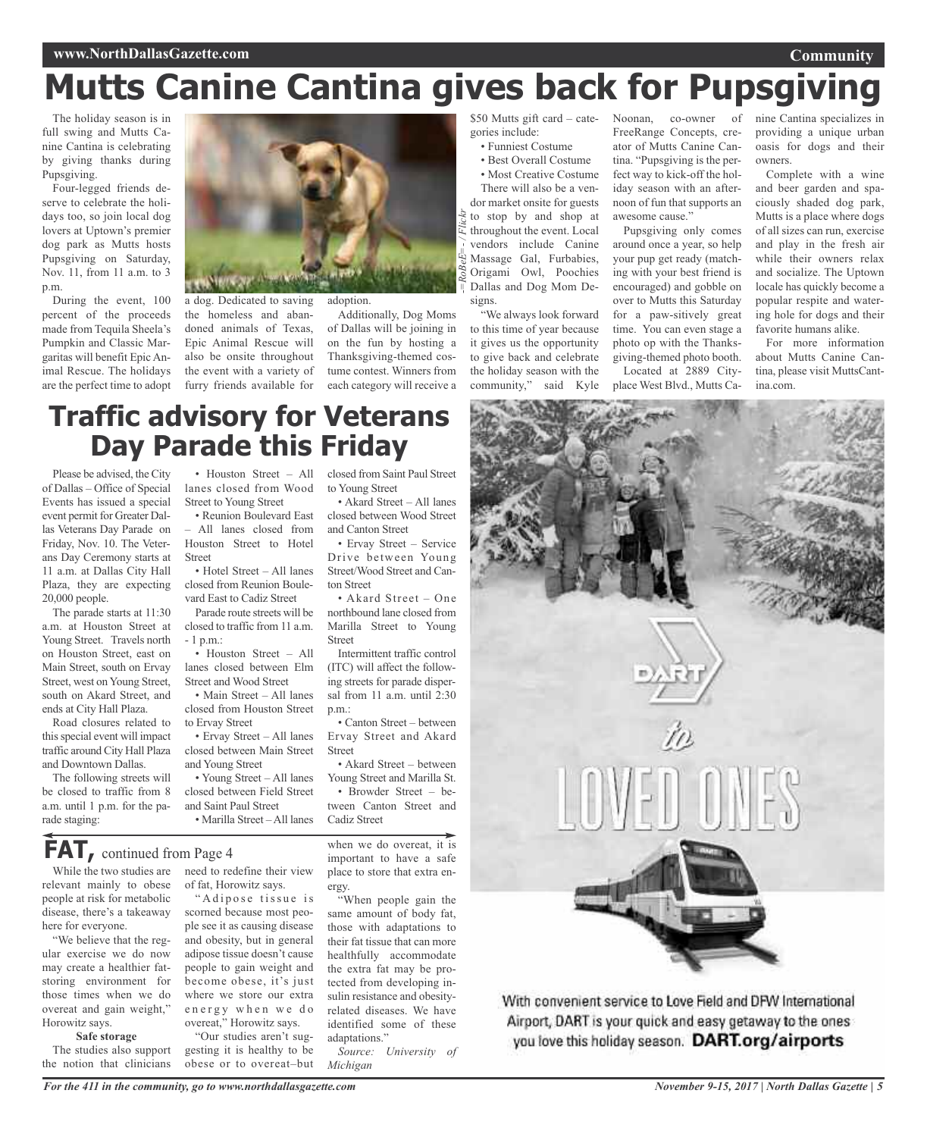# **Mutts Canine Cantina gives back for Pupsgiving**

The holiday season is in full swing and Mutts Canine Cantina is celebrating by giving thanks during Pupsgiving.

Four-legged friends deserve to celebrate the holidays too, so join local dog lovers at Uptown's premier dog park as Mutts hosts Pupsgiving on Saturday, Nov. 11, from 11 a.m. to 3 p.m.

During the event, 100 percent of the proceeds made from Tequila Sheela's Pumpkin and Classic Margaritas will benefit Epic Animal Rescue. The holidays are the perfect time to adopt



a dog. Dedicated to saving the homeless and abandoned animals of Texas, Epic Animal Rescue will also be onsite throughout the event with a variety of furry friends available for

Additionally, Dog Moms of Dallas will be joining in on the fun by hosting a Thanksgiving-themed costume contest. Winners from each category will receive a

### \$50 Mutts gift card – cate-Noonan, co-owner of gories include:

• Funniest Costume

• Best Overall Costume

• Most Creative Costume There will also be a ven-

*-= RoBeE=- / Flickr* dor market onsite for guests to stop by and shop at throughout the event. Local vendors include Canine Massage Gal, Furbabies, Origami Owl, Poochies Dallas and Dog Mom Designs.

"We always look forward to this time of year because it gives us the opportunity to give back and celebrate the holiday season with the community," said Kyle FreeRange Concepts, creator of Mutts Canine Cantina. "Pupsgiving is the perfect way to kick-off the holiday season with an afternoon of fun that supports an awesome cause."

Pupsgiving only comes around once a year, so help your pup get ready (matching with your best friend is encouraged) and gobble on over to Mutts this Saturday for a paw-sitively great time. You can even stage a photo op with the Thanksgiving-themed photo booth. Located at 2889 Cityplace West Blvd., Mutts Canine Cantina specializes in providing a unique urban oasis for dogs and their owners.

**Community**

Complete with a wine and beer garden and spaciously shaded dog park, Mutts is a place where dogs of all sizes can run, exercise and play in the fresh air while their owners relax and socialize. The Uptown locale has quickly become a popular respite and watering hole for dogs and their favorite humans alike.

For more information about Mutts Canine Cantina, please visit MuttsCantina.com.

# **Traffic advisory for Veterans Day Parade this Friday**

Please be advised, the City of Dallas – Office of Special Events has issued a special event permit for Greater Dallas Veterans Day Parade on Friday, Nov. 10. The Veterans Day Ceremony starts at 11 a.m. at Dallas City Hall Plaza, they are expecting 20,000 people.

The parade starts at 11:30 a.m. at Houston Street at Young Street. Travels north on Houston Street, east on Main Street, south on Ervay Street, west on Young Street, south on Akard Street, and ends at City Hall Plaza.

Road closures related to thisspecial event will impact traffic around City Hall Plaza and Downtown Dallas.

The following streets will be closed to traffic from 8 a.m. until 1 p.m. for the parade staging:

• Houston Street – All lanes closed from Wood Street to Young Street

• Reunion Boulevard East – All lanes closed from Houston Street to Hotel Street

• Hotel Street – All lanes closed from Reunion Boulevard East to Cadiz Street

Parade route streets will be closed to traffic from 11 a.m. - 1 p.m.:

• Houston Street – All lanes closed between Elm Street and Wood Street • Main Street – All lanes

closed from Houston Street to Ervay Street

• Ervay Street – All lanes closed between Main Street and Young Street

• Young Street – All lanes closed between Field Street and Saint Paul Street • Marilla Street –All lanes

closed from Saint Paul Street to Young Street

• Akard Street – All lanes closed between Wood Street and Canton Street

• Ervay Street – Service Drive between Young Street/Wood Street and Canton Street

• Akard Street – One northbound lane closed from Marilla Street to Young **Street** 

Intermittent traffic control (ITC) will affect the following streets for parade dispersal from 11 a.m. until 2:30 p.m.:

• Canton Street – between Ervay Street and Akard Street

• Akard Street – between Young Street and Marilla St. • Browder Street – between Canton Street and Cadiz Street

**FAT,** continued from Page <sup>4</sup>

relevant mainly to obese people at risk for metabolic disease, there's a takeaway here for everyone.

"We believe that the regular exercise we do now may create a healthier fatstoring environment for those times when we do overeat and gain weight," Horowitz says.

#### **Safe storage**

The studies also support the notion that clinicians

While the two studies are need to redefine their view of fat, Horowitz says.

"Adipose tissue is scorned because most people see it as causing disease and obesity, but in general adipose tissue doesn't cause people to gain weight and become obese, it's just where we store our extra energy when we do overeat," Horowitz says.

"Our studies aren't suggesting it is healthy to be obese or to overeat–but when we do overeat, it is important to have a safe place to store that extra energy.

"When people gain the same amount of body fat, those with adaptations to their fat tissue that can more healthfully accommodate the extra fat may be protected from developing insulin resistance and obesityrelated diseases. We have identified some of these adaptations."

*Source: University of Michigan*



With convenient service to Love Field and DFW International Airport, DART is your quick and easy getaway to the ones you love this holiday season. DART.org/airports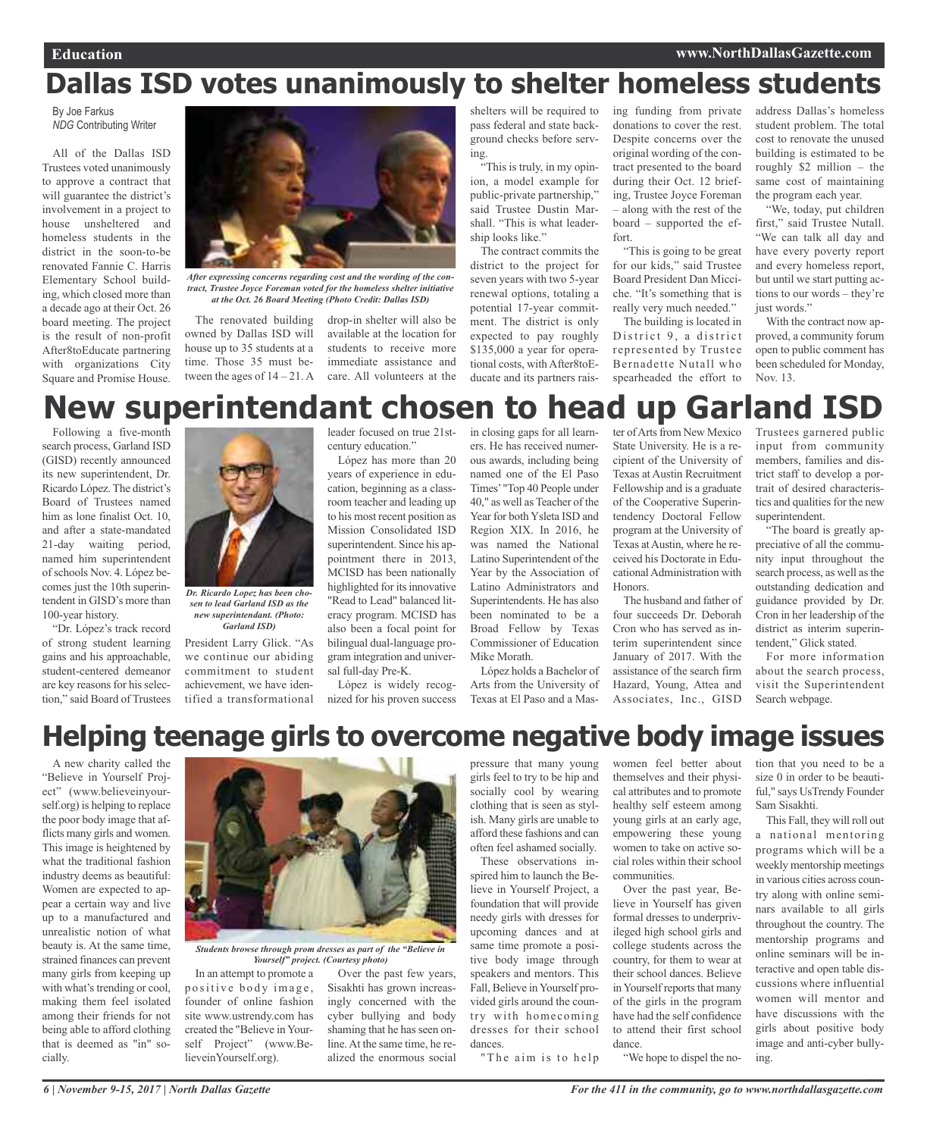# **Dallas ISD votes unanimously to shelter homeless students**

By Joe Farkus *NDG* Contributing Writer

All of the Dallas ISD Trustees voted unanimously to approve a contract that will guarantee the district's involvement in a project to house unsheltered and homeless students in the district in the soon-to-be renovated Fannie C. Harris Elementary School building, which closed more than a decade ago at their Oct. 26 board meeting. The project is the result of non-profit After8toEducate partnering with organizations City Square and Promise House.



*After expressing concerns regarding cost and the wording of the contract, Trustee Joyce Foreman voted for the homeless shelter initiative at the Oct. 26 Board Meeting (Photo Credit: Dallas ISD)*

The renovated building owned by Dallas ISD will house up to 35 students at a time. Those 35 must between the ages of  $14 - 21$ . A care. All volunteers at the

drop-in shelter will also be available at the location for students to receive more immediate assistance and shelters will be required to pass federal and state background checks before serving.

"This is truly, in my opinion, a model example for public-private partnership," said Trustee Dustin Marshall. "This is what leadership looks like."

The contract commits the district to the project for seven years with two 5-year renewal options, totaling a potential 17-year commitment. The district is only expected to pay roughly \$135,000 a year for operational costs, with After8toEducate and its partners raising funding from private donations to cover the rest. Despite concerns over the original wording of the contract presented to the board during their Oct. 12 briefing, Trustee Joyce Foreman – along with the rest of the board – supported the effort.

"This is going to be great for our kids," said Trustee Board President Dan Micciche. "It's something that is really very much needed."

The building is located in District 9, a district represented by Trustee Bernadette Nutall who spearheaded the effort to

address Dallas's homeless student problem. The total cost to renovate the unused building is estimated to be roughly \$2 million – the same cost of maintaining the program each year.

"We, today, put children first," said Trustee Nutall. "We can talk all day and have every poverty report and every homeless report, but until we start putting actions to our words – they're just words."

With the contract now approved, a community forum open to public comment has been scheduled for Monday, Nov. 13.

# **New superintendant chosen to head up Garland ISD**

Following a five-month search process, Garland ISD (GISD) recently announced its new superintendent, Dr. Ricardo López. The district's Board of Trustees named him as lone finalist Oct. 10, and after a state-mandated 21-day waiting period, named him superintendent ofschools Nov. 4. López becomes just the 10th superintendent in GISD's more than 100-year history.

"Dr. López's track record of strong student learning gains and his approachable, student-centered demeanor are key reasons for his selection," said Board of Trustees



*sen to lead Garland ISD as the new superintendant. (Photo: Garland ISD)*

President Larry Glick. "As we continue our abiding commitment to student achievement, we have identified a transformational century education."

López has more than 20 years of experience in education, beginning as a classroom teacher and leading up to his most recent position as Mission Consolidated ISD superintendent. Since his appointment there in 2013, MCISD has been nationally highlighted for its innovative "Read to Lead" balanced literacy program. MCISD has also been a focal point for bilingual dual-language program integration and universal full-day Pre-K.

López is widely recognized for his proven success

leader focused on true 21st-in closing gaps for all learners. He has received numerous awards, including being named one of the El Paso Times' "Top 40 People under 40," as well as Teacher of the Year for both Ysleta ISD and Region XIX. In 2016, he was named the National Latino Superintendent of the Year by the Association of Latino Administrators and Superintendents. He has also been nominated to be a Broad Fellow by Texas Commissioner of Education Mike Morath.

López holds a Bachelor of Arts from the University of Texas at El Paso and a Master of Arts from New Mexico State University. He is a recipient of the University of Texas at Austin Recruitment Fellowship and is a graduate of the Cooperative Superintendency Doctoral Fellow program at the University of Texas at Austin, where he received his Doctorate in Educational Administration with Honors.

The husband and father of four succeeds Dr. Deborah Cron who has served as interim superintendent since January of 2017. With the assistance of the search firm Hazard, Young, Attea and Associates, Inc., GISD

Trustees garnered public input from community members, families and district staff to develop a portrait of desired characteristics and qualities for the new superintendent.

"The board is greatly appreciative of all the community input throughout the search process, as well asthe outstanding dedication and guidance provided by Dr. Cron in her leadership of the district as interim superintendent," Glick stated.

For more information about the search process, visit the Superintendent Search webpage.

# **Helping teenage girls to overcome negative body image issues**

A new charity called the "Believe in Yourself Project" (www.believeinyourself.org) is helping to replace the poor body image that afflicts many girls and women. This image is heightened by what the traditional fashion industry deems as beautiful: Women are expected to appear a certain way and live up to a manufactured and unrealistic notion of what beauty is. At the same time, strained finances can prevent many girls from keeping up with what's trending or cool, making them feel isolated among their friends for not being able to afford clothing that is deemed as "in" socially.



*Students browse through prom dresses as part of the "Believe in Yourself" project. (Courtesy photo)*

In an attempt to promote a positive body image, founder of online fashion site www.ustrendy.com has created the "Believe in Yourself Project" (www.BelieveinYourself.org).

Over the past few years, Sisakhti has grown increasingly concerned with the cyber bullying and body shaming that he has seen online.At the same time, he realized the enormous social

pressure that many young girls feel to try to be hip and socially cool by wearing clothing that is seen as stylish. Many girls are unable to afford these fashions and can often feel ashamed socially.

These observations inspired him to launch the Believe in Yourself Project, a foundation that will provide needy girls with dresses for upcoming dances and at same time promote a positive body image through speakers and mentors. This Fall, Believe in Yourself provided girls around the country with homecoming dresses for their school dances.

"The aim is to help

women feel better about themselves and their physical attributes and to promote healthy self esteem among young girls at an early age, empowering these young women to take on active social roles within their school communities.

Over the past year, Believe in Yourself has given formal dresses to underprivileged high school girls and college students across the country, for them to wear at their school dances. Believe in Yourself reports that many of the girls in the program have had the self confidence to attend their first school dance.

tion that you need to be a size 0 in order to be beautiful," says UsTrendy Founder Sam Sisakhti.

This Fall, they will roll out a national mentoring programs which will be a weekly mentorship meetings in various cities across country along with online seminars available to all girls throughout the country. The mentorship programs and online seminars will be interactive and open table discussions where influential women will mentor and have discussions with the girls about positive body image and anti-cyber bullying.

"We hope to dispel the no-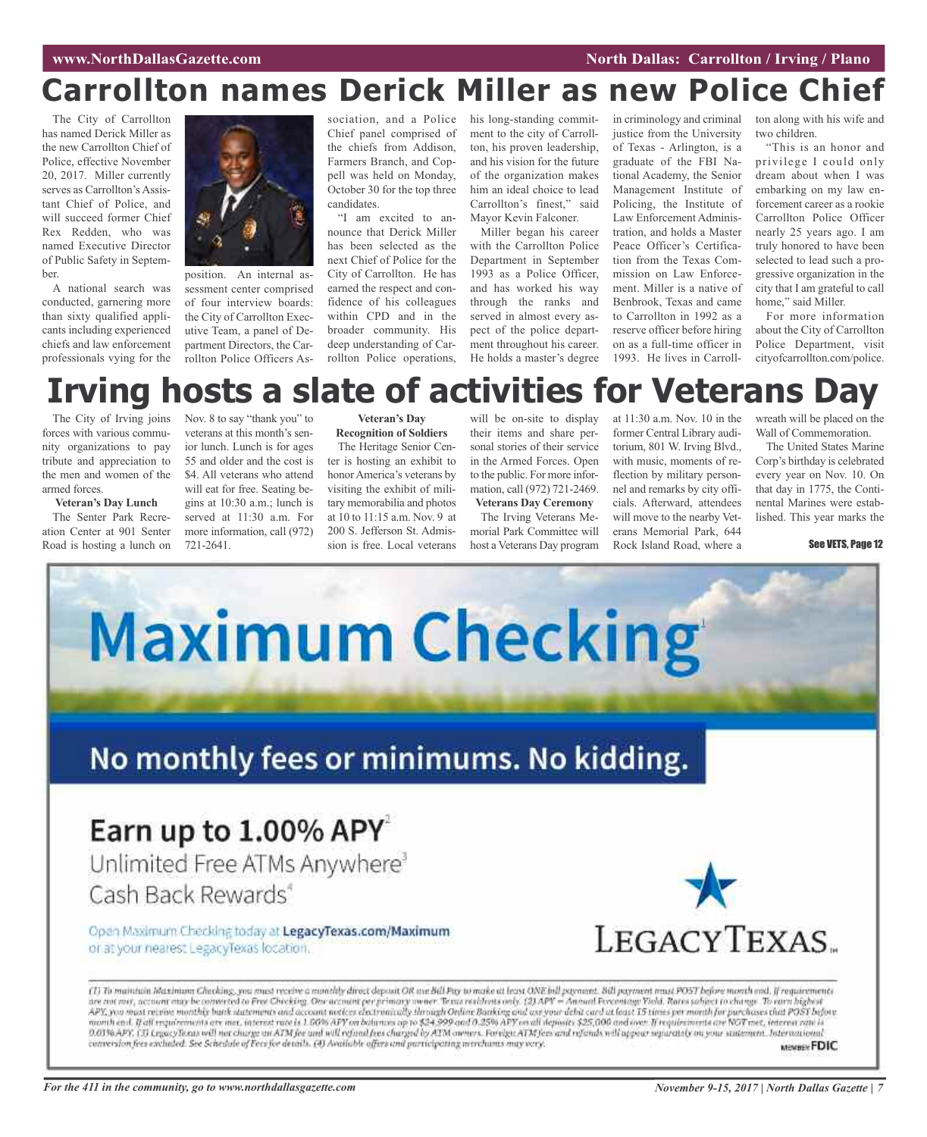# **Carrollton names Derick Miller as new Police Chief**

The City of Carrollton has named Derick Miller as the new Carrollton Chief of Police, effective November 20, 2017. Miller currently serves as Carrollton's Assistant Chief of Police, and will succeed former Chief Rex Redden, who was named Executive Director of Public Safety in September.

A national search was conducted, garnering more than sixty qualified applicants including experienced chiefs and law enforcement professionals vying for the



position. An internal assessment center comprised of four interview boards: the City of Carrollton Executive Team, a panel of Department Directors, the Carrollton Police Officers AsChief panel comprised of the chiefs from Addison, Farmers Branch, and Coppell was held on Monday, October 30 for the top three candidates.

"I am excited to announce that Derick Miller has been selected as the next Chief of Police for the City of Carrollton. He has earned the respect and confidence of his colleagues within CPD and in the broader community. His deep understanding of Carrollton Police operations,

sociation, and a Police his long-standing commitment to the city of Carrollton, his proven leadership, and his vision for the future of the organization makes him an ideal choice to lead Carrollton's finest," said Mayor Kevin Falconer.

Miller began his career with the Carrollton Police Department in September 1993 as a Police Officer, and has worked his way through the ranks and served in almost every aspect of the police department throughout his career. He holds a master's degree

in criminology and criminal justice from the University of Texas - Arlington, is a graduate of the FBI National Academy, the Senior Management Institute of Policing, the Institute of Law Enforcement Administration, and holds a Master Peace Officer's Certification from the Texas Commission on Law Enforcement. Miller is a native of Benbrook, Texas and came to Carrollton in 1992 as a reserve officer before hiring on as a full-time officer in 1993. He lives in Carrollton along with his wife and two children.

"This is an honor and privilege I could only dream about when I was embarking on my law enforcement career as a rookie Carrollton Police Officer nearly 25 years ago. I am truly honored to have been selected to lead such a progressive organization in the city that I am grateful to call home," said Miller.

For more information about the City of Carrollton Police Department, visit cityofcarrollton.com/police.

# **Irving hosts a slate of activities for Veterans Day**

The City of Irving joins forces with various community organizations to pay tribute and appreciation to the men and women of the armed forces.

#### **Veteran's Day Lunch**

The Senter Park Recreation Center at 901 Senter Road is hosting a lunch on

Nov. 8 to say "thank you" to veterans at this month's senior lunch. Lunch is for ages 55 and older and the cost is \$4. All veterans who attend will eat for free. Seating begins at 10:30 a.m.; lunch is served at 11:30 a.m. For more information, call (972) 721-2641.

#### **Veteran's Day Recognition of Soldiers**

The Heritage Senior Center is hosting an exhibit to honorAmerica's veterans by visiting the exhibit of military memorabilia and photos at 10 to 11:15 a.m. Nov. 9 at 200 S. Jefferson St. Admission is free. Local veterans

will be on-site to display their items and share personal stories of their service in the Armed Forces. Open to the public. For more information, call (972) 721-2469. **Veterans Day Ceremony**

The Irving Veterans Memorial Park Committee will host a Veterans Day program

at 11:30 a.m. Nov. 10 in the former Central Library auditorium, 801 W. Irving Blvd., with music, moments of reflection by military personnel and remarks by city officials. Afterward, attendees will move to the nearby Veterans Memorial Park, 644 Rock Island Road, where a

wreath will be placed on the Wall of Commemoration.

The United States Marine Corp's birthday is celebrated every year on Nov. 10. On that day in 1775, the Continental Marines were established. This year marks the

#### See VETS, Page 12

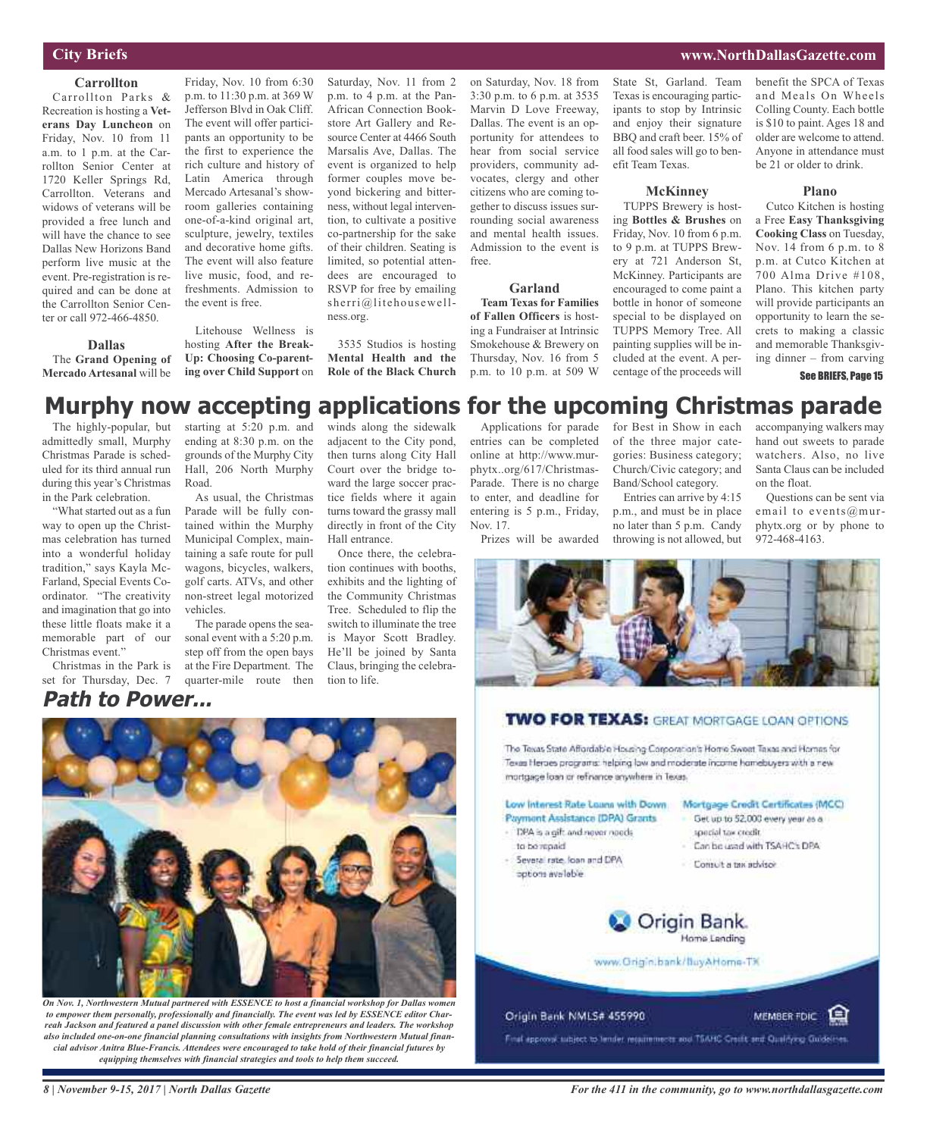# **City Briefs**

### **Carrollton**

Carrollton Parks & Recreation is hosting a **Veterans Day Luncheon** on Friday, Nov. 10 from 11 a.m. to 1 p.m. at the Carrollton Senior Center at 1720 Keller Springs Rd, Carrollton. Veterans and widows of veterans will be provided a free lunch and will have the chance to see Dallas New Horizons Band perform live music at the event. Pre-registration is required and can be done at the Carrollton Senior Center or call 972-466-4850.

#### **Dallas**

The **Grand Opening of Mercado Artesanal** will be

Friday, Nov. 10 from 6:30 p.m. to 11:30 p.m. at 369 W Jefferson Blvd in Oak Cliff. The event will offer participants an opportunity to be the first to experience the rich culture and history of Latin America through Mercado Artesanal's showroom galleries containing one-of-a-kind original art, sculpture, jewelry, textiles and decorative home gifts. The event will also feature live music, food, and refreshments. Admission to the event is free.

Litehouse Wellness is hosting **After the Break-Up: Choosing Co-parenting over Child Support** on

Saturday, Nov. 11 from 2 p.m. to 4 p.m. at the Pan-African Connection Bookstore Art Gallery and Resource Center at 4466 South Marsalis Ave, Dallas. The event is organized to help former couples move beyond bickering and bitterness, without legal intervention, to cultivate a positive co-partnership for the sake of their children. Seating is limited, so potential attendees are encouraged to RSVP for free by emailing sherri@litehousewellness.org.

3535 Studios is hosting **Mental Health and the Role of the Black Church**

on Saturday, Nov. 18 from 3:30 p.m. to 6 p.m. at 3535 Marvin D Love Freeway, Dallas. The event is an opportunity for attendees to hear from social service providers, community advocates, clergy and other citizens who are coming together to discuss issues surrounding social awareness and mental health issues. Admission to the event is free.

## **Garland**

**Team Texas for Families of Fallen Officers** is hosting a Fundraiser at Intrinsic Smokehouse & Brewery on Thursday, Nov. 16 from 5 p.m. to 10 p.m. at 509 W

State St, Garland. Team Texas is encouraging participants to stop by Intrinsic and enjoy their signature BBQ and craft beer. 15% of all food sales will go to benefit Team Texas.

#### **McKinney**

TUPPS Brewery is hosting **Bottles & Brushes** on Friday, Nov. 10 from 6 p.m. to 9 p.m. at TUPPS Brewery at 721 Anderson St, McKinney. Participants are encouraged to come paint a bottle in honor of someone special to be displayed on TUPPS Memory Tree. All painting supplies will be included at the event. A percentage of the proceeds will

benefit the SPCA of Texas and Meals On Wheels Colling County. Each bottle is \$10 to paint. Ages 18 and older are welcome to attend. Anyone in attendance must be 21 or older to drink.

**www.NorthDallasGazette.com**

#### **Plano**

Cutco Kitchen is hosting a Free **Easy Thanksgiving Cooking Class** on Tuesday, Nov. 14 from 6 p.m. to 8 p.m. at Cutco Kitchen at 700 Alma Drive #108, Plano. This kitchen party will provide participants an opportunity to learn the secrets to making a classic and memorable Thanksgiving dinner – from carving

See BRIEFS, Page 15

# **Murphy now accepting applications for the upcoming Christmas parade**

The highly-popular, but admittedly small, Murphy Christmas Parade is scheduled for its third annual run during this year's Christmas in the Park celebration.

"What started out as a fun way to open up the Christmas celebration has turned into a wonderful holiday tradition," says Kayla Mc-Farland, Special Events Coordinator. "The creativity and imagination that go into these little floats make it a memorable part of our Christmas event."

Christmas in the Park is set for Thursday, Dec. 7

starting at 5:20 p.m. and ending at 8:30 p.m. on the grounds of the Murphy City Hall, 206 North Murphy Road.

As usual, the Christmas Parade will be fully contained within the Murphy Municipal Complex, maintaining a safe route for pull wagons, bicycles, walkers, golf carts. ATVs, and other non-street legal motorized vehicles.

The parade opens the seasonal event with a 5:20 p.m. step off from the open bays at the Fire Department. The quarter-mile route then

winds along the sidewalk adjacent to the City pond, then turns along City Hall Court over the bridge toward the large soccer practice fields where it again turns toward the grassy mall directly in front of the City Hall entrance.

Once there, the celebration continues with booths, exhibits and the lighting of the Community Christmas Tree. Scheduled to flip the switch to illuminate the tree is Mayor Scott Bradley. He'll be joined by Santa Claus, bringing the celebration to life.

Applications for parade entries can be completed online at http://www.murphytx..org/617/Christmas-Parade. There is no charge to enter, and deadline for entering is 5 p.m., Friday, Nov. 17.

Prizes will be awarded

for Best in Show in each of the three major categories: Business category; Church/Civic category; and Band/School category.

Entries can arrive by 4:15 p.m., and must be in place no later than 5 p.m. Candy throwing is not allowed, but

accompanying walkers may hand out sweets to parade watchers. Also, no live Santa Claus can be included on the float.

Questions can be sent via email to events@murphytx.org or by phone to 972-468-4163.



# **TWO FOR TEXAS:** GREAT MORTGAGE LOAN OPTIONS

The Texas State Affordable Housing Corporation's Home Sweet Taxas and Homes for Texas Heroes programs: helping low and moderate income homebuyers with a new mortgage loan or refinance anywhere in Texas.

#### Low Interest Rate Loans with Down. Mortgage Crodit Certificates (MCC) Get up to 52,000 every year as a

- Payment Assistance IDPA) Grants DPA is a gift and never needs
- to be repaid.
- Several rate, loan and DPA aptions available
- special tax credit. Can be used with TSAHC's DPA

MEMBER FOIC E

Comut a tax advisor



www.Grigin.bank/BuyAHome-TX

#### Origin Bank NMLS# 455990

Final approval subject to lender requirements and TSAHC Credit and Qualifying Guidelites



*On Nov. 1, Northwestern Mutual partnered with ESSENCE to host a financial workshop for Dallas women to empower them personally, professionally and financially. The event was led by ESSENCE editor Charreah Jackson and featured a panel discussion with other female entrepreneurs and leaders. The workshop also included one-on-one financial planning consultations with insights from Northwestern Mutual financial advisor Anitra Blue-Francis. Attendees were encouraged to take hold of their financial futures by equipping themselves with financial strategies and tools to help them succeed.*

*8 | November 9-15, 2017 | North Dallas Gazette*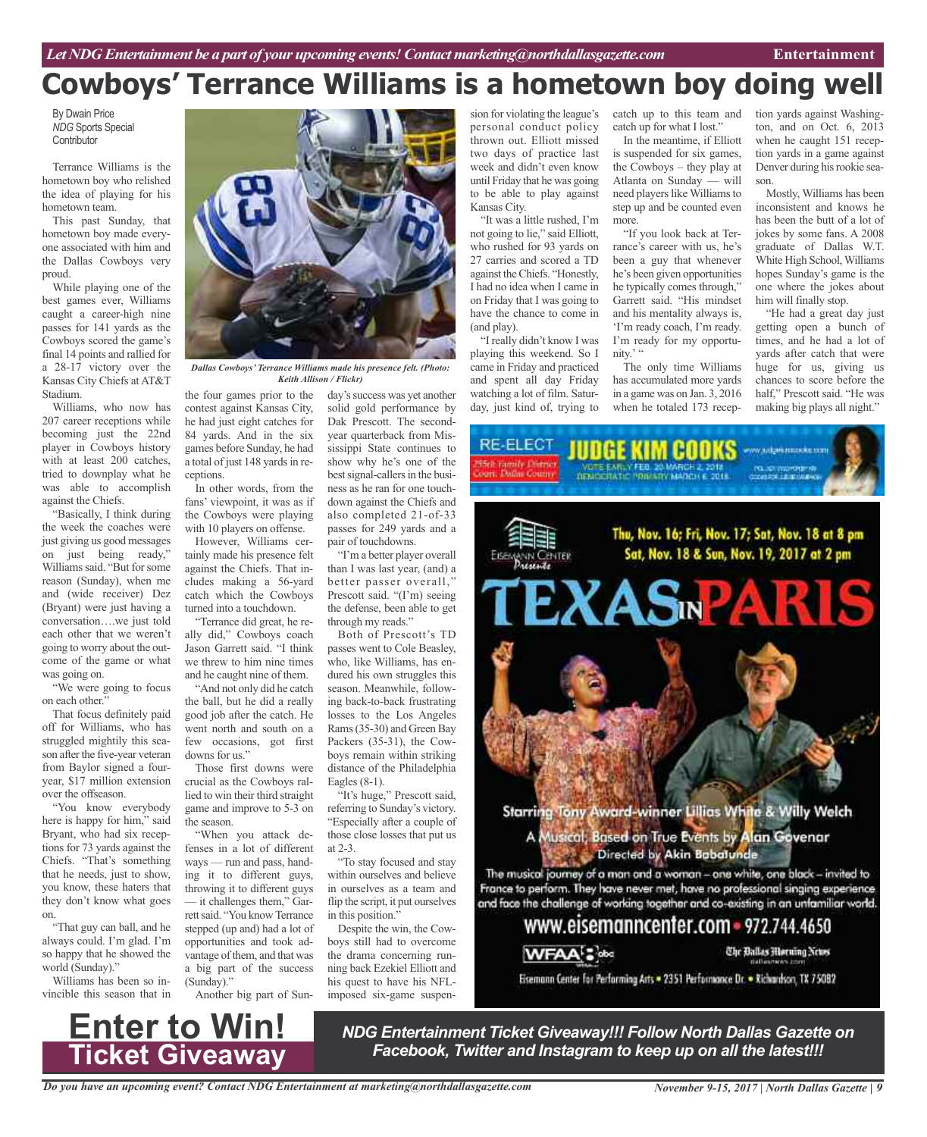# **Cowboys' Terrance Williams is a hometown boy doing well**

By Dwain Price *NDG* Sports Special **Contributor** 

Terrance Williams is the hometown boy who relished the idea of playing for his hometown team.

This past Sunday, that hometown boy made everyone associated with him and the Dallas Cowboys very proud.

While playing one of the best games ever, Williams caught a career-high nine passes for 141 yards as the Cowboys scored the game's final 14 points and rallied for a 28-17 victory over the Kansas City Chiefs at AT&T Stadium.

Williams, who now has 207 career receptions while becoming just the 22nd player in Cowboys history with at least 200 catches, tried to downplay what he was able to accomplish against the Chiefs.

"Basically, I think during the week the coaches were just giving us good messages on just being ready," Williams said. "But for some reason (Sunday), when me and (wide receiver) Dez (Bryant) were just having a conversation….we just told each other that we weren't going to worry about the outcome of the game or what was going on.

"We were going to focus on each other."

That focus definitely paid off for Williams, who has struggled mightily this season after the five-year veteran from Baylor signed a fouryear, \$17 million extension over the offseason.

"You know everybody here is happy for him," said Bryant, who had six receptions for 73 yards against the Chiefs. "That's something that he needs, just to show, you know, these haters that they don't know what goes on.

"That guy can ball, and he always could. I'm glad. I'm so happy that he showed the world (Sunday)."

Williams has been so invincible this season that in

**Enter to Win!**

**Ticket Giveaway**



*Dallas Cowboys' Terrance Williams made his presence felt. (Photo: Keith Allison / Flickr)*

the four games prior to the contest against Kansas City, he had just eight catches for 84 yards. And in the six games before Sunday, he had a total of just 148 yards in receptions.

In other words, from the fans' viewpoint, it was as if the Cowboys were playing with 10 players on offense.

However, Williams certainly made his presence felt against the Chiefs. That includes making a 56-yard catch which the Cowboys turned into a touchdown.

"Terrance did great, he really did," Cowboys coach Jason Garrett said. "I think we threw to him nine times and he caught nine of them.

"And not only did he catch the ball, but he did a really good job after the catch. He went north and south on a few occasions, got first downs for us."

Those first downs were crucial as the Cowboys rallied to win their third straight game and improve to 5-3 on the season.

"When you attack defenses in a lot of different ways — run and pass, handing it to different guys, throwing it to different guys — it challenges them," Garrett said. "You know Terrance stepped (up and) had a lot of opportunities and took advantage of them, and that was a big part of the success (Sunday)."

Another big part of Sun-

day's success was yet another solid gold performance by Dak Prescott. The secondyear quarterback from Mississippi State continues to show why he's one of the best signal-callers in the business as he ran for one touchdown against the Chiefs and also completed 21-of-33 passes for 249 yards and a pair of touchdowns.

"I'm a better player overall than I was last year, (and) a better passer overall," Prescott said. "(I'm) seeing the defense, been able to get through my reads."

Both of Prescott's TD passes went to Cole Beasley, who, like Williams, has endured his own struggles this season. Meanwhile, following back-to-back frustrating losses to the Los Angeles Rams (35-30) and Green Bay Packers (35-31), the Cowboys remain within striking distance of the Philadelphia Eagles (8-1).

"It's huge," Prescott said, referring to Sunday's victory. "Especially after a couple of those close losses that put us at 2-3.

"To stay focused and stay within ourselves and believe in ourselves as a team and flip the script, it put ourselves in this position."

Despite the win, the Cowboys still had to overcome the drama concerning running back Ezekiel Elliott and his quest to have his NFLimposed six-game suspension for violating the league's personal conduct policy thrown out. Elliott missed two days of practice last week and didn't even know until Friday that he was going to be able to play against Kansas City.

"It was a little rushed, I'm not going to lie," said Elliott, who rushed for 93 yards on 27 carries and scored a TD against theChiefs. "Honestly, I had no idea when I came in on Friday that I was going to have the chance to come in (and play).

"I really didn't know I was playing this weekend. So I came in Friday and practiced and spent all day Friday watching a lot of film. Saturday, just kind of, trying to

catch up to this team and catch up for what I lost."

In the meantime, if Elliott is suspended for six games, the Cowboys – they play at Atlanta on Sunday — will need players like Williams to step up and be counted even more.

"If you look back at Terrance's career with us, he's been a guy that whenever he's been given opportunities he typically comes through," Garrett said. "His mindset and his mentality always is, 'I'm ready coach, I'm ready. I'm ready for my opportunity.' "

The only time Williams has accumulated more yards in a game was on Jan. 3, 2016 when he totaled 173 reception yards against Washington, and on Oct. 6, 2013 when he caught 151 reception yards in a game against Denver during his rookie season.

Mostly, Williams has been inconsistent and knows he has been the butt of a lot of jokes by some fans. A 2008 graduate of Dallas W.T. White High School,Williams hopes Sunday's game is the one where the jokes about him will finally stop.

"He had a great day just getting open a bunch of times, and he had a lot of yards after catch that were huge for us, giving us chances to score before the half," Prescott said. "He was making big plays all night."



www.eisemanncenter.com = 972.744.4650



Eisemann Center for Performing Arts = 2351 Performance Dr. = Richardson, TX 75082

*NDG Entertainment Ticket Giveaway!!! Follow North Dallas Gazette on Facebook, Twitter and Instagram to keep up on all the latest!!!*

The Ballas Morning News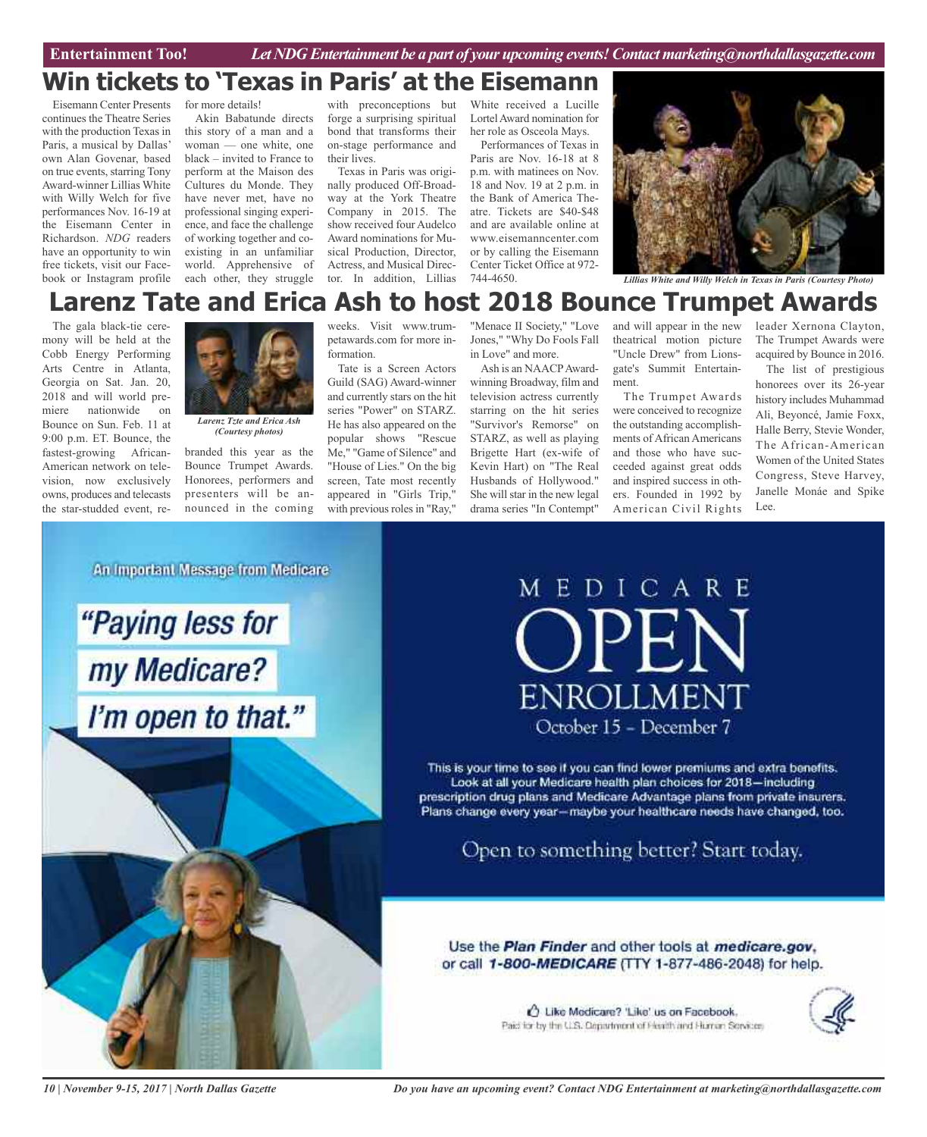# **Win tickets to 'Texas in Paris' at the Eisemann**

Eisemann Center Presents continues the Theatre Series with the production Texas in Paris, a musical by Dallas' own Alan Govenar, based on true events, starring Tony Award-winner Lillias White with Willy Welch for five performances Nov. 16-19 at the Eisemann Center in Richardson. *NDG* readers have an opportunity to win free tickets, visit our Facebook or Instagram profile

for more details!

Akin Babatunde directs this story of a man and a woman — one white, one black – invited to France to perform at the Maison des Cultures du Monde. They have never met, have no professional singing experience, and face the challenge of working together and coexisting in an unfamiliar world. Apprehensive of each other, they struggle

with preconceptions but forge a surprising spiritual bond that transforms their on-stage performance and their lives.

Texas in Paris was originally produced Off-Broadway at the York Theatre Company in 2015. The show received four Audelco Award nominations for Musical Production, Director, Actress, and Musical Director. In addition, Lillias

White received a Lucille LortelAward nomination for her role as Osceola Mays.

Performances of Texas in Paris are Nov. 16-18 at 8 p.m. with matinees on Nov. 18 and Nov. 19 at 2 p.m. in the Bank of America Theatre. Tickets are \$40-\$48 and are available online at www.eisemanncenter.com or by calling the Eisemann Center Ticket Office at 972-



744-4650. *Lillias White and Willy Welch in Texas in Paris (Courtesy Photo)*

# **Larenz Tate and Erica Ash to host 2018 Bounce Trumpet Awards**

The gala black-tie ceremony will be held at the Cobb Energy Performing Arts Centre in Atlanta, Georgia on Sat. Jan. 20, 2018 and will world premiere nationwide on Bounce on Sun. Feb. 11 at 9:00 p.m. ET. Bounce, the fastest-growing African-American network on television, now exclusively owns, produces and telecasts the star-studded event, re-



*Larenz Tzte and Erica Ash (Courtesy photos)*

branded this year as the Bounce Trumpet Awards. Honorees, performers and presenters will be announced in the coming weeks. Visit www.trumpetawards.com for more information.

Tate is a Screen Actors Guild (SAG) Award-winner and currently stars on the hit series "Power" on STARZ. He has also appeared on the popular shows "Rescue Me," "Game of Silence" and "House of Lies." On the big screen, Tate most recently appeared in "Girls Trip," with previous roles in "Ray,"

"Menace II Society," "Love Jones," "Why Do Fools Fall in Love" and more.

Ash is an NAACPAwardwinning Broadway, film and television actress currently starring on the hit series "Survivor's Remorse" on STARZ, as well as playing Brigette Hart (ex-wife of Kevin Hart) on "The Real Husbands of Hollywood." She will star in the new legal drama series "In Contempt"

and will appear in the new theatrical motion picture "Uncle Drew" from Lionsgate's Summit Entertainment.

The Trumpet Awards were conceived to recognize the outstanding accomplishments of African Americans and those who have succeeded against great odds and inspired success in others. Founded in 1992 by American Civil Rights leader Xernona Clayton, The Trumpet Awards were acquired by Bounce in 2016.

The list of prestigious honorees over its 26-year history includes Muhammad Ali, Beyoncé, Jamie Foxx, Halle Berry, Stevie Wonder, The African-American Women of the United States Congress, Steve Harvey, Janelle Monáe and Spike Lee.

An Important Message from Medicare



# MEDICARE PEN **ENROLLMENT** October 15 - December 7

This is your time to see if you can find lower premiums and extra benefits. Look at all your Medicare health plan choices for 2018-including prescription drug plans and Medicare Advantage plans from private insurers. Plans change every year-maybe your healthcare needs have changed, too.

Open to something better? Start today.

Use the Plan Finder and other tools at medicare.gov. or call 1-800-MEDICARE (TTY 1-877-486-2048) for help.

> t Like Medicare? 'Like' us on Facebook. Paid for by the U.S. Department of Fissith and Human Services



*10 | November 9-15, 2017 | North Dallas Gazette*

*Do you have an upcoming event? Contact NDG Entertainment at marketing@northdallasgazette.com*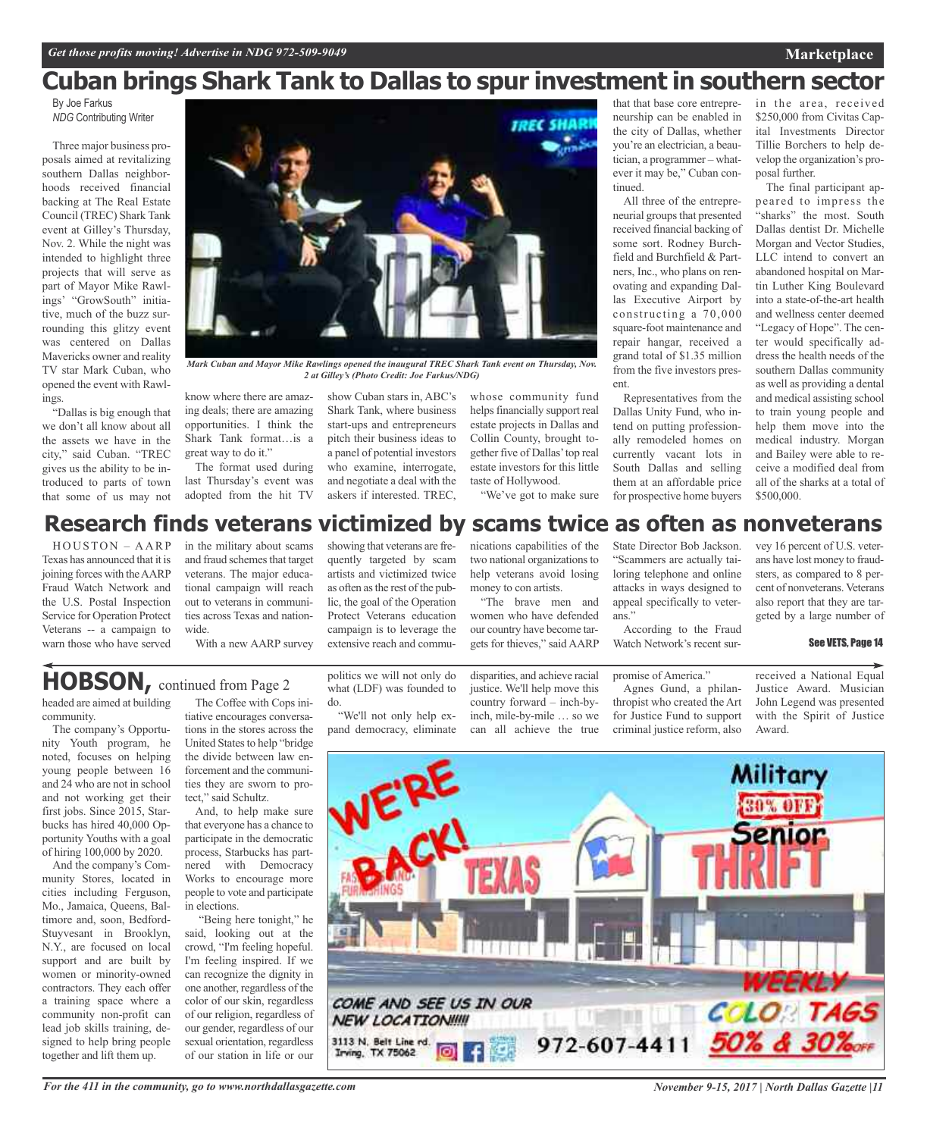## **Marketplace**

# **Cuban brings Shark Tank to Dallas to spur investment in southern sector**

By Joe Farkus *NDG* Contributing Writer

Three major business proposals aimed at revitalizing southern Dallas neighborhoods received financial backing at The Real Estate Council (TREC) Shark Tank event at Gilley's Thursday, Nov. 2. While the night was intended to highlight three projects that will serve as part of Mayor Mike Rawlings' "GrowSouth" initiative, much of the buzz surrounding this glitzy event was centered on Dallas Mavericks owner and reality TV star Mark Cuban, who opened the event with Rawlings.

"Dallas is big enough that we don't all know about all the assets we have in the city," said Cuban. "TREC gives us the ability to be introduced to parts of town that some of us may not



The format used during last Thursday's event was adopted from the hit TV

show Cuban stars in, ABC's Shark Tank, where business start-ups and entrepreneurs pitch their business ideas to a panel of potential investors who examine, interrogate, and negotiate a deal with the askers if interested. TREC,

*Mark Cuban and Mayor Mike Rawlings opened the inaugural TREC Shark Tank event on Thursday, Nov.*

whose community fund helps financially support real estate projects in Dallas and Collin County, brought together five of Dallas'top real estate investors for this little taste of Hollywood.

*IREC SHARI* 

"We've got to make sure

neurship can be enabled in the city of Dallas, whether you're an electrician, a beautician, a programmer – whatever it may be," Cuban continued.

that that base core entrepre-

All three of the entrepreneurial groups that presented received financial backing of some sort. Rodney Burchfield and Burchfield & Partners, Inc., who plans on renovating and expanding Dallas Executive Airport by constructing a 70,000 square-foot maintenance and repair hangar, received a grand total of \$1.35 million from the five investors present.

Representatives from the Dallas Unity Fund, who intend on putting professionally remodeled homes on currently vacant lots in South Dallas and selling them at an affordable price for prospective home buyers

in the area, received \$250,000 from Civitas Capital Investments Director Tillie Borchers to help develop the organization's proposal further.

The final participant appeared to impress the "sharks" the most. South Dallas dentist Dr. Michelle Morgan and Vector Studies, LLC intend to convert an abandoned hospital on Martin Luther King Boulevard into a state-of-the-art health and wellness center deemed "Legacy of Hope". The center would specifically address the health needs of the southern Dallas community as well as providing a dental and medical assisting school to train young people and help them move into the medical industry. Morgan and Bailey were able to receive a modified deal from all of the sharks at a total of \$500,000.

# **Research finds veterans victimized by scams twice as often as nonveterans**

HOUSTON – AARP Texas has announced that it is joining forces with theAARP Fraud Watch Network and the U.S. Postal Inspection Service for Operation Protect Veterans -- a campaign to warn those who have served

in the military about scams and fraud schemes that target veterans. The major educational campaign will reach out to veterans in communities across Texas and nationwide.

With a new AARP survey

showing that veterans are frequently targeted by scam artists and victimized twice as often as the rest of the public, the goal of the Operation Protect Veterans education campaign is to leverage the extensive reach and commu-

nications capabilities of the two national organizations to help veterans avoid losing money to con artists.

"The brave men and women who have defended our country have become targets for thieves," said AARP State Director Bob Jackson. "Scammers are actually taiattacks in ways designed to appeal specifically to veter-

Watch Network's recent sur-

#### promise of America." Agnes Gund, a philanthropist who created the Art for Justice Fund to support criminal justice reform, also

vey 16 percent of U.S. veterans have lost money to fraudsters, as compared to 8 percent of nonveterans. Veterans also report that they are targeted by a large number of

#### See VETS, Page 14

received a National Equal Justice Award. Musician John Legend was presented with the Spirit of Justice Award.



# **HOBSON,** continued from Page <sup>2</sup>

headed are aimed at building community.

The company's Opportunity Youth program, he noted, focuses on helping young people between 16 and 24 who are not in school and not working get their first jobs. Since 2015, Starbucks has hired 40,000 Opportunity Youths with a goal of hiring 100,000 by 2020.

And the company's Community Stores, located in cities including Ferguson, Mo., Jamaica, Queens, Baltimore and, soon, Bedford-Stuyvesant in Brooklyn, N.Y., are focused on local support and are built by women or minority-owned contractors. They each offer a training space where a community non-profit can lead job skills training, designed to help bring people together and lift them up.

The Coffee with Cops ini-

tiative encourages conversations in the stores across the United States to help "bridge" the divide between law enforcement and the communities they are sworn to protect," said Schultz.

And, to help make sure that everyone has a chance to participate in the democratic process, Starbucks has partnered with Democracy Works to encourage more people to vote and participate in elections.

"Being here tonight," he said, looking out at the crowd, "I'm feeling hopeful. I'm feeling inspired. If we can recognize the dignity in one another, regardless of the color of our skin, regardless of our religion, regardless of our gender, regardless of our sexual orientation, regardless of our station in life or our

*For the 411 in the community, go to www.northdallasgazette.com*

politics we will not only do what (LDF) was founded to do.

"We'll not only help expand democracy, eliminate

disparities, and achieve racial justice. We'll help move this country forward – inch-byinch, mile-by-mile … so we can all achieve the true

loring telephone and online ans." According to the Fraud

*November 9-15, 2017 | North Dallas Gazette |11*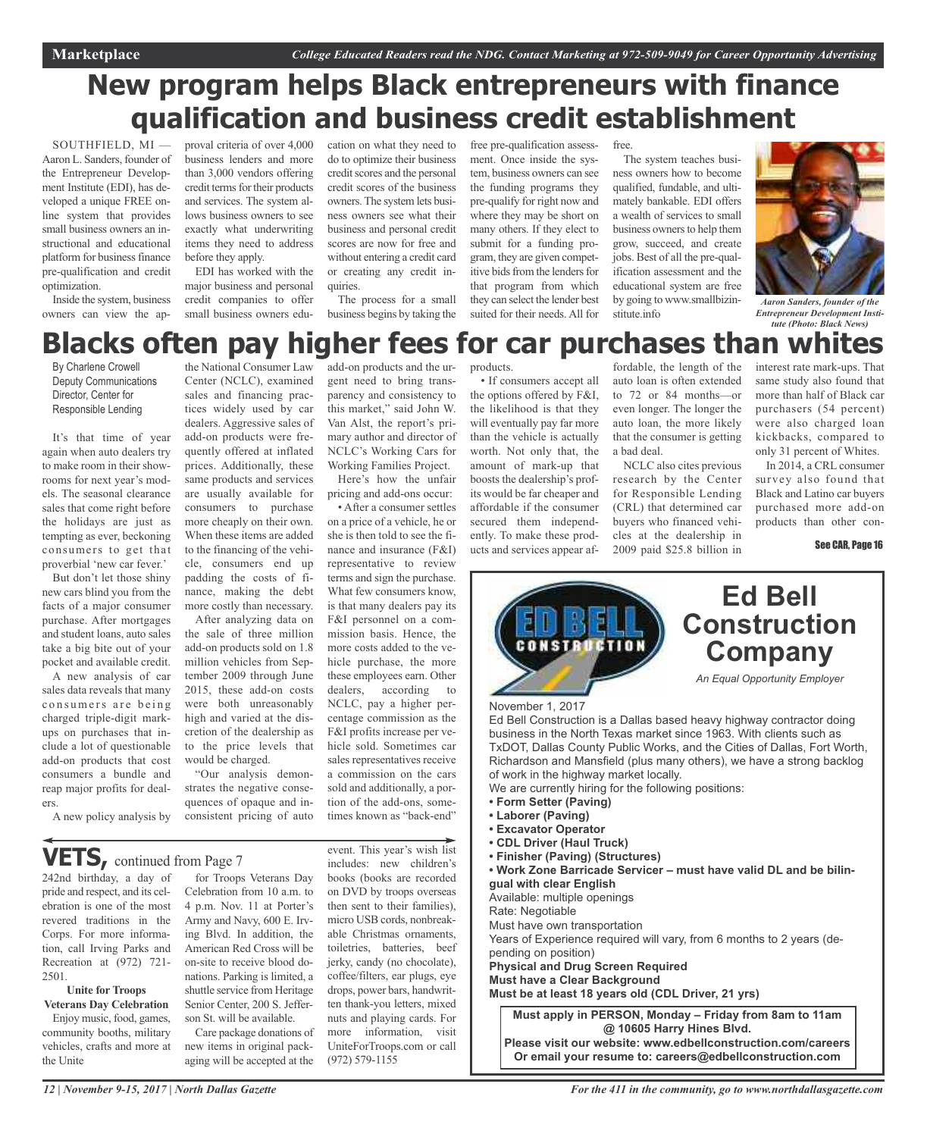# **New program helps Black entrepreneurs with finance qualification and business credit establishment**

SOUTHFIELD, MI — Aaron L. Sanders, founder of the Entrepreneur Development Institute (EDI), has developed a unique FREE online system that provides small business owners an instructional and educational platform for business finance pre-qualification and credit optimization.

Inside the system, business owners can view the ap-

proval criteria of over 4,000 business lenders and more than 3,000 vendors offering credit terms for their products and services. The system allows business owners to see exactly what underwriting items they need to address before they apply.

EDI has worked with the major business and personal credit companies to offer small business owners edu-

cation on what they need to do to optimize their business credit scores and the personal credit scores of the business owners.The system lets business owners see what their business and personal credit scores are now for free and without entering a credit card or creating any credit inquiries.

The process for a small business begins by taking the

ment. Once inside the system, business owners can see the funding programs they pre-qualify for right now and where they may be short on many others. If they elect to submit for a funding program, they are given competitive bids from the lenders for that program from which they can select the lender best suited for their needs. All for

free pre-qualification assess-

free.

The system teaches business owners how to become qualified, fundable, and ultimately bankable. EDI offers a wealth of services to small business owners to help them grow, succeed, and create jobs. Best of all the pre-qualification assessment and the educational system are free by going to www.smallbizinstitute.info



*Aaron Sanders, founder of the Entrepreneur Development Institute (Photo: Black News)*

## the National Consumer Law products. **Blacks often pay higher fees for car purchases than whites**

By Charlene Crowell Deputy Communications Director, Center for Responsible Lending

It's that time of year again when auto dealers try to make room in their showrooms for next year's models. The seasonal clearance sales that come right before the holidays are just as tempting as ever, beckoning consumers to get that proverbial 'new car fever.'

But don't let those shiny new cars blind you from the facts of a major consumer purchase. After mortgages and student loans, auto sales take a big bite out of your pocket and available credit. A new analysis of car sales data reveals that many consumers are being charged triple-digit markups on purchases that include a lot of questionable add-on products that cost consumers a bundle and reap major profits for dealers.

Center (NCLC), examined sales and financing practices widely used by car dealers. Aggressive sales of add-on products were frequently offered at inflated prices. Additionally, these same products and services are usually available for consumers to purchase more cheaply on their own. When these items are added to the financing of the vehicle, consumers end up padding the costs of finance, making the debt more costly than necessary.

After analyzing data on the sale of three million add-on products sold on 1.8 million vehicles from September 2009 through June 2015, these add-on costs were both unreasonably high and varied at the discretion of the dealership as to the price levels that would be charged.

"Our analysis demonstrates the negative consequences of opaque and inconsistent pricing of auto add-on products and the urgent need to bring transparency and consistency to this market," said John W. Van Alst, the report's primary author and director of NCLC's Working Cars for Working Families Project.

Here's how the unfair pricing and add-ons occur:

• After a consumer settles on a price of a vehicle, he or she is then told to see the finance and insurance (F&I) representative to review terms and sign the purchase. What few consumers know, is that many dealers pay its F&I personnel on a commission basis. Hence, the more costs added to the vehicle purchase, the more these employees earn. Other dealers, according to NCLC, pay a higher percentage commission as the F&I profits increase per vehicle sold. Sometimes car sales representatives receive a commission on the cars sold and additionally, a portion of the add-ons, sometimes known as "back-end"

• If consumers accept all the options offered by F&I, the likelihood is that they will eventually pay far more than the vehicle is actually worth. Not only that, the amount of mark-up that boosts the dealership's profits would be far cheaper and affordable if the consumer secured them independently. To make these prod-

ucts and services appear af-

fordable, the length of the auto loan is often extended to 72 or 84 months—or even longer. The longer the auto loan, the more likely that the consumer is getting a bad deal.

NCLC also cites previous research by the Center for Responsible Lending (CRL) that determined car buyers who financed vehicles at the dealership in 2009 paid \$25.8 billion in

interest rate mark-ups. That same study also found that more than half of Black car purchasers (54 percent) were also charged loan kickbacks, compared to only 31 percent of Whites.

In 2014, a CRL consumer survey also found that Black and Latino car buyers purchased more add-on products than other con-

See CAR, Page 16



A new policy analysis by

# **VETS,** continued from Page <sup>7</sup>

242nd birthday, a day of pride and respect, and its celebration is one of the most revered traditions in the Corps. For more information, call Irving Parks and Recreation at (972) 721- 2501.

## **Unite for Troops Veterans Day Celebration**

Enjoy music, food, games, community booths, military vehicles, crafts and more at the Unite

for Troops Veterans Day Celebration from 10 a.m. to 4 p.m. Nov. 11 at Porter's Army and Navy, 600 E. Irving Blvd. In addition, the American Red Cross will be on-site to receive blood donations. Parking is limited, a shuttle service from Heritage Senior Center, 200 S. Jefferson St. will be available.

Care package donations of new items in original packaging will be accepted at the

event. This year's wish list includes: new children's books (books are recorded on DVD by troops overseas then sent to their families), micro USB cords, nonbreakable Christmas ornaments, toiletries, batteries, beef jerky, candy (no chocolate), coffee/filters, ear plugs, eye drops, power bars, handwritten thank-you letters, mixed nuts and playing cards. For more information, visit UniteForTroops.com or call (972) 579-1155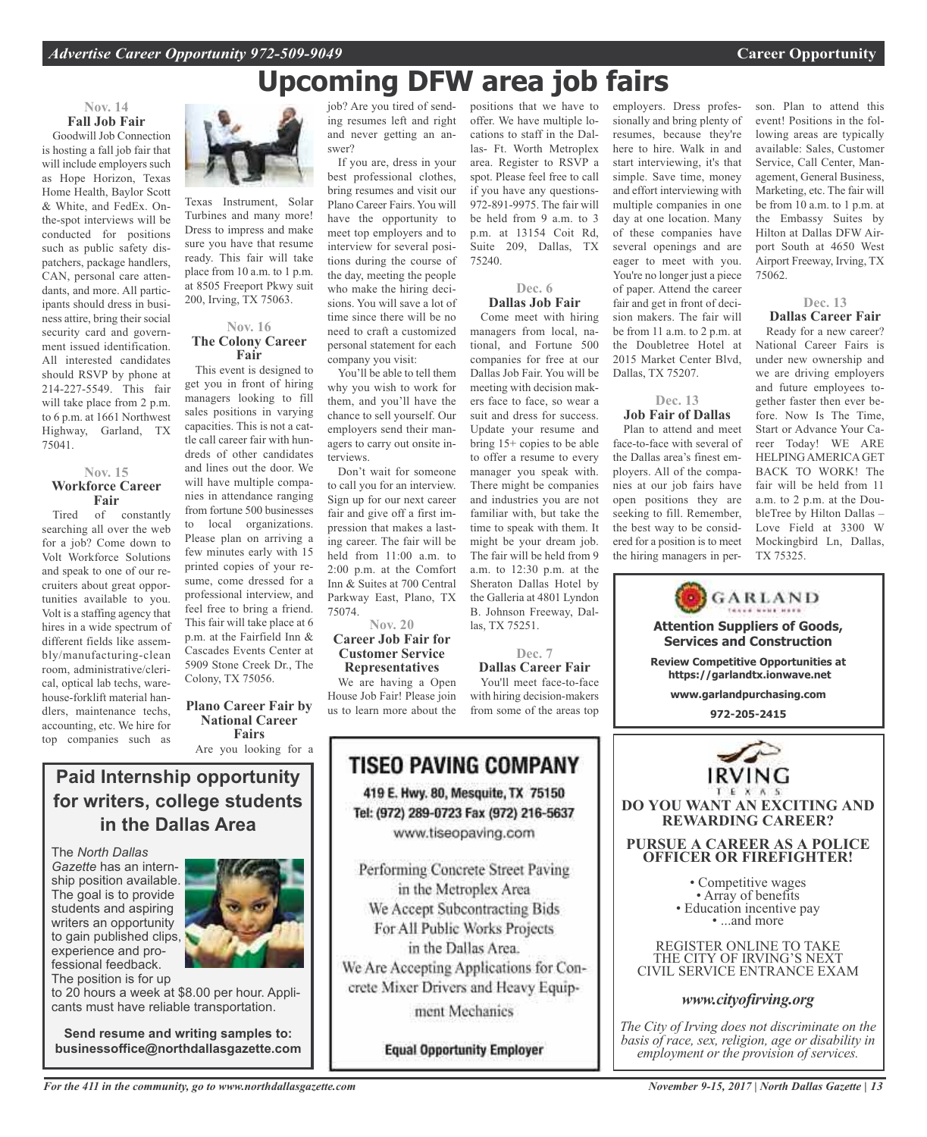# **Upcoming DFW area job fairs**

75240.

positions that we have to offer. We have multiple locations to staff in the Dal-

if you have any questions-972-891-9975. The fair will be held from 9 a.m. to 3

**Dec. 6 Dallas Job Fair** Come meet with hiring managers from local, national, and Fortune 500

meeting with decision makers face to face, so wear a suit and dress for success. Update your resume and bring 15+ copies to be able to offer a resume to every manager you speak with. There might be companies and industries you are not familiar with, but take the time to speak with them. It might be your dream job. The fair will be held from 9 a.m. to 12:30 p.m. at the Sheraton Dallas Hotel by the Galleria at 4801 Lyndon B. Johnson Freeway, Dal-

las, TX 75251.

**Dec. 7 Dallas Career Fair** You'll meet face-to-face with hiring decision-makers from some of the areas top

# **Nov. 14 Fall Job Fair**

Goodwill Job Connection is hosting a fall job fair that will include employers such as Hope Horizon, Texas Home Health, Baylor Scott & White, and FedEx. Onthe-spot interviews will be conducted for positions such as public safety dispatchers, package handlers, CAN, personal care attendants, and more. All participants should dress in business attire, bring their social security card and government issued identification. All interested candidates should RSVP by phone at 214-227-5549. This fair will take place from 2 p.m. to 6 p.m. at 1661 Northwest Highway, Garland, TX 75041.

#### **Nov. 15 Workforce Career Fair**

Tired of constantly searching all over the web for a job? Come down to Volt Workforce Solutions and speak to one of our recruiters about great opportunities available to you. Volt is a staffing agency that hires in a wide spectrum of different fields like assembly/manufacturing-clean room, administrative/clerical, optical lab techs, warehouse-forklift material handlers, maintenance techs, accounting, etc. We hire for top companies such as



Are you looking for a

**Paid Internship opportunity for writers, college students in the Dallas Area**

The *North Dallas Gazette* has an internship position available. The goal is to provide students and aspiring writers an opportunity to gain published clips, experience and professional feedback.

The position is for up to 20 hours a week at \$8.00 per hour. Applicants must have reliable transportation.

**Send resume and writing samples to: businessoffice@northdallasgazette.com**



Texas Instrument, Solar Turbines and many more! Dress to impress and make sure you have that resume ready. This fair will take place from 10 a.m. to 1 p.m. at 8505 Freeport Pkwy suit 200, Irving, TX 75063.

## **Nov. 16 The Colony Career Fair**

This event is designed to get you in front of hiring managers looking to fill sales positions in varying capacities. This is not a cattle call career fair with hundreds of other candidates and lines out the door. We will have multiple companies in attendance ranging from fortune 500 businesses to local organizations. Please plan on arriving a few minutes early with 15 printed copies of your resume, come dressed for a professional interview, and feel free to bring a friend. This fair will take place at 6 p.m. at the Fairfield Inn & Cascades Events Center at 5909 Stone Creek Dr., The Colony, TX 75056.

job? Are you tired of sending resumes left and right and never getting an answer? If you are, dress in your

best professional clothes, bring resumes and visit our Plano Career Fairs. You will have the opportunity to meet top employers and to interview for several positions during the course of the day, meeting the people who make the hiring decisions. You will save a lot of time since there will be no need to craft a customized personal statement for each company you visit:

You'll be able to tell them why you wish to work for them, and you'll have the chance to sell yourself. Our employers send their managers to carry out onsite interviews.

Don't wait for someone to call you for an interview. Sign up for our next career fair and give off a first impression that makes a lasting career. The fair will be held from 11:00 a.m. to 2:00 p.m. at the Comfort Inn & Suites at 700 Central Parkway East, Plano, TX 75074.

#### **Nov. 20 Career Job Fair for Customer Service Representatives**

We are having a Open House Job Fair! Please join us to learn more about the

> **TISEO PAVING COMPANY** 419 E. Hwy. 80, Mesquite, TX 75150 Tel: (972) 289-0723 Fax (972) 216-5637 www.tiseopaving.com Performing Concrete Street Paving in the Metroplex Area We Accept Subcontracting Bids For All Public Works Projects in the Dallas Area.

We Are Accepting Applications for Concrete Mixer Drivers and Heavy Equip-

ment Mechanics

**Equal Opportunity Employer** 

las- Ft. Worth Metroplex area. Register to RSVP a spot. Please feel free to call p.m. at 13154 Coit Rd, Suite 209, Dallas, TX companies for free at our Dallas Job Fair. You will be employers. Dress professionally and bring plenty of resumes, because they're here to hire. Walk in and start interviewing, it's that simple. Save time, money and effort interviewing with multiple companies in one day at one location. Many of these companies have several openings and are eager to meet with you. You're no longer just a piece of paper. Attend the career fair and get in front of decision makers. The fair will be from 11 a.m. to 2 p.m. at the Doubletree Hotel at 2015 Market Center Blvd, Dallas, TX 75207.

# **Dec. 13 Job Fair of Dallas**

Plan to attend and meet face-to-face with several of the Dallas area's finest employers. All of the companies at our job fairs have open positions they are seeking to fill. Remember, the best way to be considered for a position is to meet the hiring managers in person. Plan to attend this event! Positions in the following areas are typically available: Sales, Customer Service, Call Center, Management, General Business, Marketing, etc. The fair will be from 10 a.m. to 1 p.m. at the Embassy Suites by Hilton at Dallas DFW Airport South at 4650 West Airport Freeway, Irving, TX 75062.

#### **Dec. 13 Dallas Career Fair**

Ready for a new career? National Career Fairs is under new ownership and we are driving employers and future employees together faster then ever before. Now Is The Time, Start or Advance Your Career Today! WE ARE HELPING AMERICA GET BACK TO WORK! The fair will be held from 11 a.m. to 2 p.m. at the DoubleTree by Hilton Dallas – Love Field at 3300 W Mockingbird Ln, Dallas, TX 75325.



# *www.cityofirving.org*

*The City of Irving does not discriminate on the basis of race, sex, religion, age or disability in employment or the provision of services.*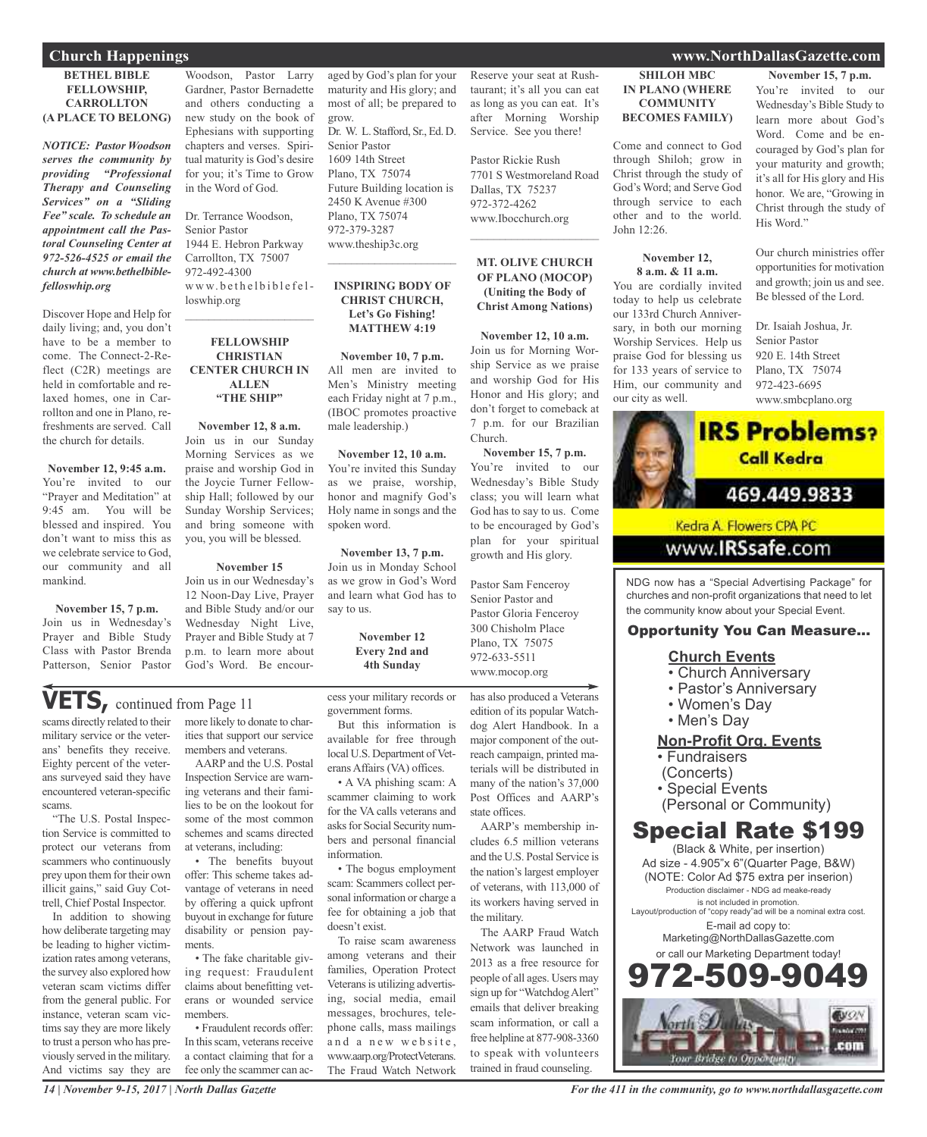#### **BETHEL BIBLE FELLOWSHIP, CARROLLTON (A PLACE TO BELONG)**

*NOTICE: Pastor Woodson serves the community by providing "Professional Therapy and Counseling Services" on a "Sliding Fee" scale. To schedule an appointment call the Pastoral Counseling Center at 972-526-4525 or email the church at www.bethelbiblefelloswhip.org*

Discover Hope and Help for daily living; and, you don't have to be a member to come. The Connect-2-Reflect (C2R) meetings are held in comfortable and relaxed homes, one in Carrollton and one in Plano, refreshments are served. Call the church for details.

### **November 12, 9:45 a.m.** You're invited to our "Prayer and Meditation" at 9:45 am. You will be blessed and inspired. You don't want to miss this as we celebrate service to God, our community and all mankind.

**November 15, 7 p.m.**

Join us in Wednesday's Prayer and Bible Study Class with Pastor Brenda Patterson, Senior Pastor

Woodson, Pastor Larry Gardner, Pastor Bernadette and others conducting a new study on the book of Ephesians with supporting chapters and verses. Spiritual maturity is God's desire for you; it's Time to Grow in the Word of God.

Dr. Terrance Woodson, Senior Pastor 1944 E. Hebron Parkway Carrollton, TX 75007 972-492-4300 www.bethelbiblefelloswhip.org

## **FELLOWSHIP CHRISTIAN CENTER CHURCH IN ALLEN "THE SHIP"**

 $\mathcal{L}_\text{max}$  , which is a set of the set of the set of the set of the set of the set of the set of the set of the set of the set of the set of the set of the set of the set of the set of the set of the set of the set of

**November 12, 8 a.m.** Join us in our Sunday Morning Services as we praise and worship God in the Joycie Turner Fellowship Hall; followed by our Sunday Worship Services; and bring someone with you, you will be blessed.

**November 15** Join us in our Wednesday's 12 Noon-Day Live, Prayer and Bible Study and/or our Wednesday Night Live, Prayer and Bible Study at 7 p.m. to learn more about God's Word. Be encour-

# **VETS,** continued from Page <sup>11</sup>

scams directly related to their military service or the veterans' benefits they receive. Eighty percent of the veterans surveyed said they have encountered veteran-specific scams.

"The U.S. Postal Inspection Service is committed to protect our veterans from scammers who continuously prey upon them for their own illicit gains," said Guy Cottrell, Chief Postal Inspector.

In addition to showing how deliberate targeting may be leading to higher victimization rates among veterans, the survey also explored how veteran scam victims differ from the general public. For instance, veteran scam victims say they are more likely to trust a person who has previously served in the military. And victims say they are more likely to donate to charities that support our service members and veterans.

AARP and the U.S. Postal Inspection Service are warning veterans and their families to be on the lookout for some of the most common schemes and scams directed at veterans, including:

• The benefits buyout offer: This scheme takes advantage of veterans in need by offering a quick upfront buyout in exchange for future disability or pension payments.

• The fake charitable giving request: Fraudulent claims about benefitting veterans or wounded service members.

• Fraudulent records offer: In this scam, veterans receive a contact claiming that for a fee only the scammer can acaged by God's plan for your maturity and His glory; and most of all; be prepared to grow. Dr. W. L. Stafford, Sr., Ed. D. Senior Pastor 1609 14th Street Plano, TX 75074 Future Building location is 2450 K Avenue #300 Plano, TX 75074 972-379-3287 www.theship3c.org  $\overline{\phantom{a}}$  , which is a set of the set of the set of the set of the set of the set of the set of the set of the set of the set of the set of the set of the set of the set of the set of the set of the set of the set of th

## **INSPIRING BODY OF CHRIST CHURCH, Let's Go Fishing! MATTHEW 4:19**

**November 10, 7 p.m.** All men are invited to Men's Ministry meeting each Friday night at 7 p.m., (IBOC promotes proactive male leadership.)

**November 12, 10 a.m.** You're invited this Sunday as we praise, worship, honor and magnify God's Holy name in songs and the spoken word.

**November 13, 7 p.m.** Join us in Monday School as we grow in God's Word and learn what God has to say to us.

> **November 12 Every 2nd and 4th Sunday**

cess your military records or government forms. But this information is

available for free through local U.S. Department of Veterans Affairs (VA) offices.

• A VA phishing scam: A scammer claiming to work for the VA calls veterans and asks for Social Security numbers and personal financial information.

• The bogus employment scam: Scammers collect personal information or charge a fee for obtaining a job that doesn't exist.

To raise scam awareness among veterans and their families, Operation Protect Veterans is utilizing advertising, social media, email messages, brochures, telephone calls, mass mailings and a new website, www.aarp.org/ProtectVeterans. The Fraud Watch Network

Reserve your seat at Rushtaurant; it's all you can eat as long as you can eat. It's after Morning Worship Service. See you there!

Pastor Rickie Rush 7701 S Westmoreland Road Dallas, TX 75237 972-372-4262 www.Ibocchurch.org

# **MT. OLIVE CHURCH OF PLANO (MOCOP) (Uniting the Body of Christ Among Nations)**

 $\overline{\phantom{a}}$  , and the set of the set of the set of the set of the set of the set of the set of the set of the set of the set of the set of the set of the set of the set of the set of the set of the set of the set of the s

**November 12, 10 a.m.** Join us for Morning Worship Service as we praise and worship God for His Honor and His glory; and don't forget to comeback at 7 p.m. for our Brazilian Church.

**November 15, 7 p.m.** You're invited to our Wednesday's Bible Study class; you will learn what God has to say to us. Come to be encouraged by God's plan for your spiritual growth and His glory.

Pastor Sam Fenceroy Senior Pastor and Pastor Gloria Fenceroy 300 Chisholm Place Plano, TX 75075 972-633-5511 www.mocop.org

has also produced a Veterans edition of its popular Watchdog Alert Handbook. In a major component of the outreach campaign, printed materials will be distributed in many of the nation's 37,000 Post Offices and AARP's state offices.

AARP's membership includes 6.5 million veterans and the U.S. Postal Service is the nation's largest employer of veterans, with 113,000 of its workers having served in the military.

The AARP Fraud Watch Network was launched in 2013 as a free resource for people of all ages. Users may sign up for "Watchdog Alert" emails that deliver breaking scam information, or call a free helpline at 877-908-3360 to speak with volunteers trained in fraud counseling.

# **Church Happenings www.NorthDallasGazette.com**

**SHILOH MBC IN PLANO (WHERE COMMUNITY BECOMES FAMILY)**

Come and connect to God through Shiloh; grow in Christ through the study of God's Word; and Serve God through service to each other and to the world.

**November 12, 8 a.m. & 11 a.m.** You are cordially invited today to help us celebrate our 133rd Church Anniversary, in both our morning Worship Services. Help us praise God for blessing us for 133 years of service to Him, our community and

John 12:26.

our city as well.

**November 15, 7 p.m.**

You're invited to our Wednesday's Bible Study to learn more about God's Word. Come and be encouraged by God's plan for your maturity and growth; it's all for His glory and His honor. We are, "Growing in Christ through the study of His Word."

Our church ministries offer opportunities for motivation and growth; join us and see. Be blessed of the Lord.

Dr. Isaiah Joshua, Jr. Senior Pastor 920 E. 14th Street Plano, TX 75074 972-423-6695 www.smbcplano.org



NDG now has a "Special Advertising Package" for churches and non-profit organizations that need to let the community know about your Special Event.

# Opportunity You Can Measure...

# **Church Events**

- Church Anniversary
- Pastor's Anniversary
- Women's Day
- Men's Day

**Non-Profit Org. Events**

- Fundraisers
- (Concerts)
- Special Events
- (Personal or Community)

# Special Rate \$199

(Black & White, per insertion) Ad size - 4.905"x 6"(Quarter Page, B&W) (NOTE: Color Ad \$75 extra per inserion) Production disclaimer - NDG ad meake-ready is not included in promotion. Layout/production of "copy ready"ad will be a nominal extra cost.

E-mail ad copy to: Marketing@NorthDallasGazette.com or call our Marketing Department today!

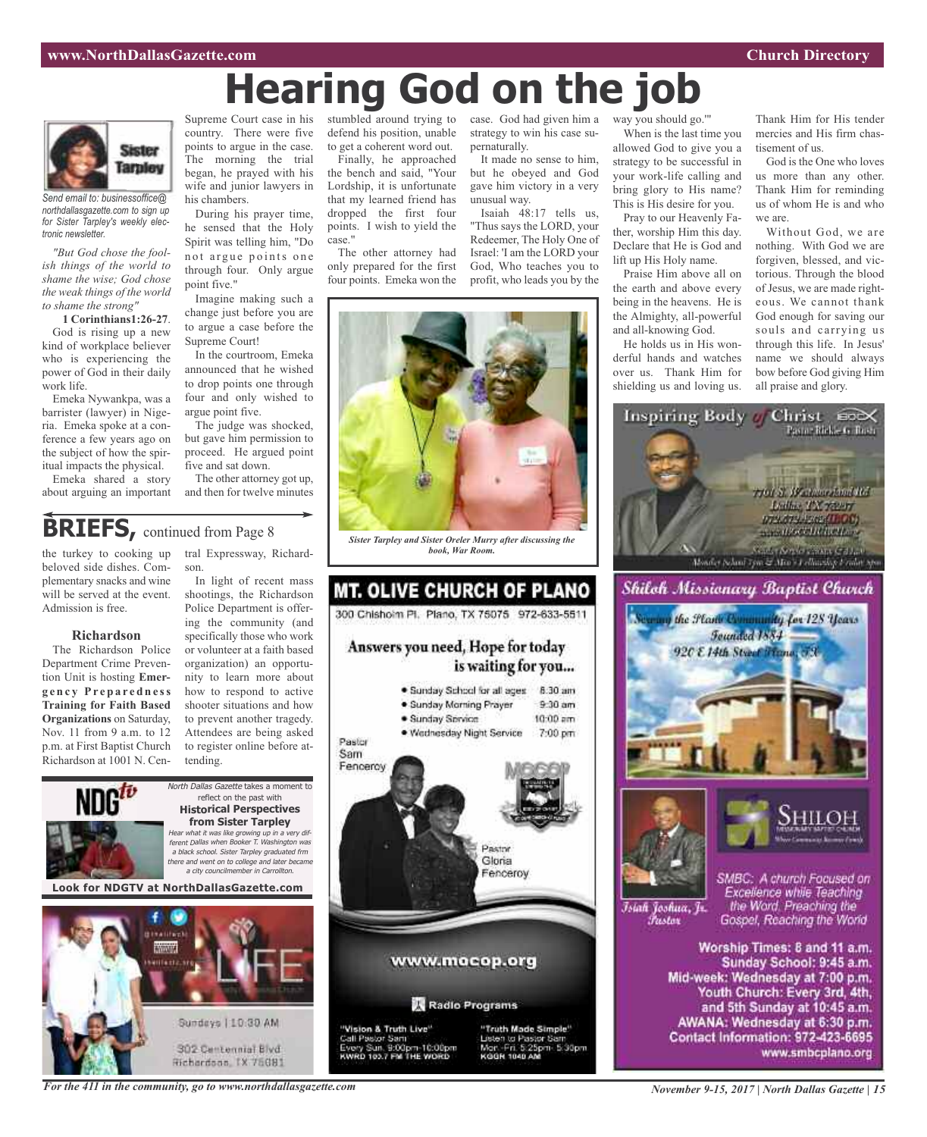# **Hearing God on the job**

case. God had given him a strategy to win his case su-

It made no sense to him, but he obeyed and God gave him victory in a very

Isaiah 48:17 tells us, "Thus says the LORD, your Redeemer, The Holy One of Israel: 'I am the LORD your God, Who teaches you to profit, who leads you by the

pernaturally.

unusual way.



*Send email to: businessoffice@ northdallasgazette.com to sign up for Sister Tarpley's weekly electronic newsletter.*

*"But God chose the foolish things of the world to shame the wise; God chose the weak things of the world to shame the strong"*

**1 Corinthians1:26-27**. God is rising up a new kind of workplace believer who is experiencing the power of God in their daily work life.

Emeka Nywankpa, was a barrister (lawyer) in Nigeria. Emeka spoke at a conference a few years ago on the subject of how the spiritual impacts the physical.

Emeka shared a story about arguing an important

Supreme Court case in his country. There were five points to argue in the case. The morning the trial began, he prayed with his wife and junior lawyers in his chambers.

During his prayer time, he sensed that the Holy Spirit was telling him, "Do not argue points one through four. Only argue point five."

Imagine making such a change just before you are to argue a case before the Supreme Court!

In the courtroom, Emeka announced that he wished to drop points one through four and only wished to argue point five.

The judge was shocked, but gave him permission to proceed. He argued point five and sat down.

The other attorney got up, and then for twelve minutes

# **BRIEFS**, continued from Page 8

the turkey to cooking up beloved side dishes. Complementary snacks and wine will be served at the event. Admission is free.

#### **Richardson**

The Richardson Police Department Crime Prevention Unit is hosting **Emerg e n c y Pr e p a r e d n e ss Training for Faith Based Organizations** on Saturday, Nov. 11 from 9 a.m. to 12 p.m. at First Baptist Church Richardson at 1001 N. Central Expressway, Richardson.

In light of recent mass shootings, the Richardson Police Department is offering the community (and specifically those who work or volunteer at a faith based organization) an opportunity to learn more about how to respond to active shooter situations and how to prevent another tragedy. Attendees are being asked to register online before attending.



302 Centennial Blvd Richardson, TX 75081 stumbled around trying to defend his position, unable to get a coherent word out.

Finally, he approached the bench and said, "Your Lordship, it is unfortunate that my learned friend has dropped the first four points. I wish to yield the case."

The other attorney had only prepared for the first four points. Emeka won the



*Sister Tarpley and Sister Oreler Murry after discussing the book, War Room.*

# **MT. OLIVE CHURCH OF PLANO** 300 Chishoim Pl. Plano, TX 75075 972-633-5511 Answers you need, Hope for today is waiting for you... . Sunday School for all ages 8:30 am · Sunday Morning Prayer  $9.30$  am · Sunday Service  $10:00$  am · Wednesday Night Service 7:00 pm Pastor Sam Fencercy Pastor Gloria Fenceroy www.mocop.org Radio Programs "Vision & Truth Live" "Truth Made Simple"

"Vision & Truth Live"<br>Call Pastor Sam<br>Every Sun, 9:00pm-10:00pm<br>KWRD 103.7 FM THE WORD



way you should go.'"

When is the last time you allowed God to give you a strategy to be successful in your work-life calling and bring glory to His name? This is His desire for you.

Pray to our Heavenly Father, worship Him this day. Declare that He is God and lift up His Holy name.

Praise Him above all on the earth and above every being in the heavens. He is the Almighty, all-powerful and all-knowing God.

He holds us in His wonderful hands and watches over us. Thank Him for shielding us and loving us.

Thank Him for His tender mercies and His firm chastisement of us.

God is the One who loves us more than any other. Thank Him for reminding us of whom He is and who we are.

Without God, we are nothing. With God we are forgiven, blessed, and victorious. Through the blood of Jesus, we are made righteous. We cannot thank God enough for saving our souls and carrying us through this life. In Jesus' name we should always bow before God giving Him all praise and glory.



www.smbcplano.org